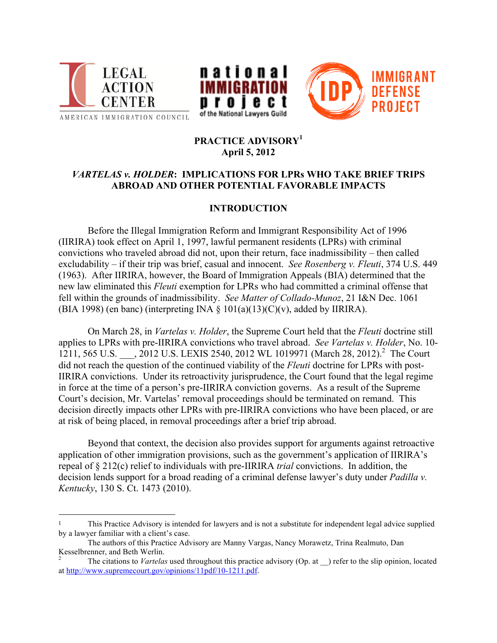

!!!!!!!!!!!!!!!!!!!!!!!!!!!!!!!!!!!!!!!!!!!!!!!!!!!!!!!





# **PRACTICE ADVISORY<sup>1</sup> April 5, 2012**

# *VARTELAS v. HOLDER***: IMPLICATIONS FOR LPRs WHO TAKE BRIEF TRIPS ABROAD AND OTHER POTENTIAL FAVORABLE IMPACTS**

# **INTRODUCTION**

Before the Illegal Immigration Reform and Immigrant Responsibility Act of 1996 (IIRIRA) took effect on April 1, 1997, lawful permanent residents (LPRs) with criminal convictions who traveled abroad did not, upon their return, face inadmissibility – then called excludability – if their trip was brief, casual and innocent. *See Rosenberg v. Fleuti*, 374 U.S. 449 (1963). After IIRIRA, however, the Board of Immigration Appeals (BIA) determined that the new law eliminated this *Fleuti* exemption for LPRs who had committed a criminal offense that fell within the grounds of inadmissibility. *See Matter of Collado-Munoz*, 21 I&N Dec. 1061 (BIA 1998) (en banc) (interpreting INA  $\S$  101(a)(13)(C)(v), added by IIRIRA).

On March 28, in *Vartelas v. Holder*, the Supreme Court held that the *Fleuti* doctrine still applies to LPRs with pre-IIRIRA convictions who travel abroad. *See Vartelas v. Holder*, No. 10- 1211, 565 U.S. \_\_\_, 2012 U.S. LEXIS 2540, 2012 WL 1019971 (March 28, 2012).<sup>2</sup> The Court did not reach the question of the continued viability of the *Fleuti* doctrine for LPRs with post-IIRIRA convictions. Under its retroactivity jurisprudence, the Court found that the legal regime in force at the time of a person's pre-IIRIRA conviction governs. As a result of the Supreme Court's decision, Mr. Vartelas' removal proceedings should be terminated on remand. This decision directly impacts other LPRs with pre-IIRIRA convictions who have been placed, or are at risk of being placed, in removal proceedings after a brief trip abroad.

Beyond that context, the decision also provides support for arguments against retroactive application of other immigration provisions, such as the government's application of IIRIRA's repeal of § 212(c) relief to individuals with pre-IIRIRA *trial* convictions. In addition, the decision lends support for a broad reading of a criminal defense lawyer's duty under *Padilla v. Kentucky*, 130 S. Ct. 1473 (2010).

<sup>1</sup> This Practice Advisory is intended for lawyers and is not a substitute for independent legal advice supplied by a lawyer familiar with a client's case.

The authors of this Practice Advisory are Manny Vargas, Nancy Morawetz, Trina Realmuto, Dan

Kesselbrenner, and Beth Werlin.<br><sup>2</sup> The citations to *Vartelas* used throughout this practice advisory (Op. at ) refer to the slip opinion, located at http://www.supremecourt.gov/opinions/11pdf/10-1211.pdf.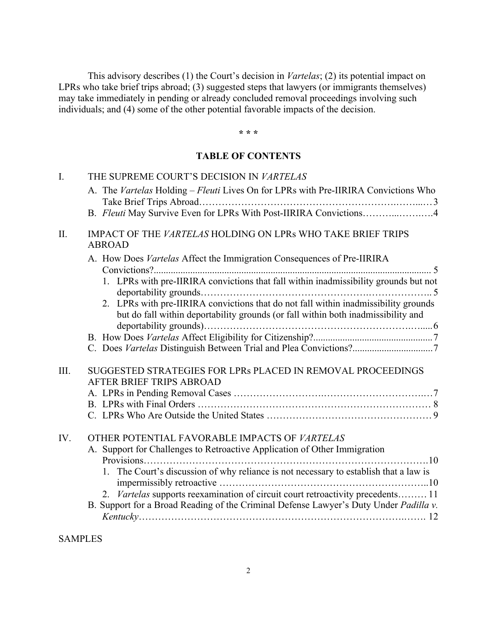This advisory describes (1) the Court's decision in *Vartelas*; (2) its potential impact on LPRs who take brief trips abroad; (3) suggested steps that lawyers (or immigrants themselves) may take immediately in pending or already concluded removal proceedings involving such individuals; and (4) some of the other potential favorable impacts of the decision.

#### **\* \* \***

### **TABLE OF CONTENTS**

| $\mathbf{I}$ . | THE SUPREME COURT'S DECISION IN VARTELAS                                                                                                                                                           |
|----------------|----------------------------------------------------------------------------------------------------------------------------------------------------------------------------------------------------|
|                | A. The Vartelas Holding - Fleuti Lives On for LPRs with Pre-IIRIRA Convictions Who                                                                                                                 |
|                |                                                                                                                                                                                                    |
| II.            | IMPACT OF THE VARTELAS HOLDING ON LPRs WHO TAKE BRIEF TRIPS<br><b>ABROAD</b>                                                                                                                       |
|                | A. How Does Vartelas Affect the Immigration Consequences of Pre-IIRIRA                                                                                                                             |
|                | 1. LPRs with pre-IIRIRA convictions that fall within inadmissibility grounds but not                                                                                                               |
|                | 2. LPRs with pre-IIRIRA convictions that do not fall within inadmissibility grounds<br>but do fall within deportability grounds (or fall within both inadmissibility and<br>deportability grounds) |
|                |                                                                                                                                                                                                    |
|                |                                                                                                                                                                                                    |
| III.           | SUGGESTED STRATEGIES FOR LPRs PLACED IN REMOVAL PROCEEDINGS<br><b>AFTER BRIEF TRIPS ABROAD</b>                                                                                                     |
|                |                                                                                                                                                                                                    |
|                |                                                                                                                                                                                                    |
|                |                                                                                                                                                                                                    |
| IV.            | OTHER POTENTIAL FAVORABLE IMPACTS OF VARTELAS                                                                                                                                                      |
|                | A. Support for Challenges to Retroactive Application of Other Immigration                                                                                                                          |
|                | Provisions                                                                                                                                                                                         |
|                | 1. The Court's discussion of why reliance is not necessary to establish that a law is                                                                                                              |
|                | Vartelas supports reexamination of circuit court retroactivity precedents 11<br>2.                                                                                                                 |
|                | B. Support for a Broad Reading of the Criminal Defense Lawyer's Duty Under Padilla v.                                                                                                              |
|                |                                                                                                                                                                                                    |
|                |                                                                                                                                                                                                    |

SAMPLES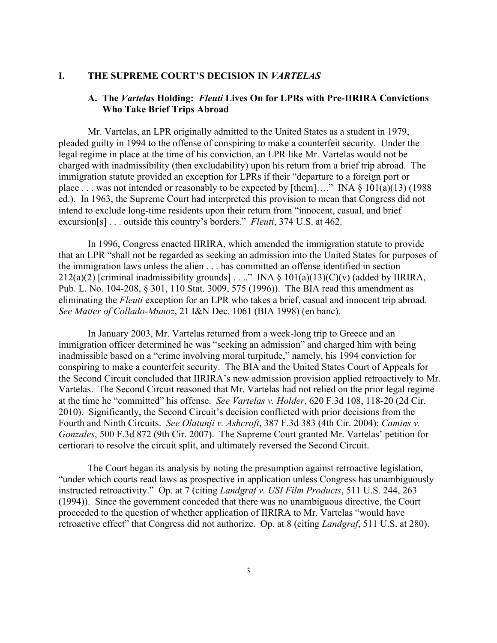#### **I. THE SUPREME COURT'S DECISION IN** *VARTELAS*

### **A. The** *Vartelas* **Holding:** *Fleuti* **Lives On for LPRs with Pre-IIRIRA Convictions Who Take Brief Trips Abroad**

Mr. Vartelas, an LPR originally admitted to the United States as a student in 1979, pleaded guilty in 1994 to the offense of conspiring to make a counterfeit security. Under the legal regime in place at the time of his conviction, an LPR like Mr. Vartelas would not be charged with inadmissibility (then excludability) upon his return from a brief trip abroad. The immigration statute provided an exception for LPRs if their "departure to a foreign port or place . . . was not intended or reasonably to be expected by [them]...." INA  $\S 101(a)(13)$  (1988) ed.). In 1963, the Supreme Court had interpreted this provision to mean that Congress did not intend to exclude long-time residents upon their return from "innocent, casual, and brief excursion[s] . . . outside this country's borders." *Fleuti*, 374 U.S. at 462.

In 1996, Congress enacted IIRIRA, which amended the immigration statute to provide that an LPR "shall not be regarded as seeking an admission into the United States for purposes of the immigration laws unless the alien . . . has committed an offense identified in section 212(a)(2) [criminal inadmissibility grounds] . . .." INA §  $101(a)(13)(C)(v)$  (added by IIRIRA, Pub. L. No. 104-208, § 301, 110 Stat. 3009, 575 (1996)). The BIA read this amendment as eliminating the *Fleuti* exception for an LPR who takes a brief, casual and innocent trip abroad. *See Matter of Collado-Munoz*, 21 I&N Dec. 1061 (BIA 1998) (en banc).

In January 2003, Mr. Vartelas returned from a week-long trip to Greece and an immigration officer determined he was "seeking an admission" and charged him with being inadmissible based on a "crime involving moral turpitude," namely, his 1994 conviction for conspiring to make a counterfeit security. The BIA and the United States Court of Appeals for the Second Circuit concluded that IIRIRA's new admission provision applied retroactively to Mr. Vartelas. The Second Circuit reasoned that Mr. Vartelas had not relied on the prior legal regime at the time he "committed" his offense. *See Vartelas v. Holder*, 620 F.3d 108, 118-20 (2d Cir. 2010). Significantly, the Second Circuit's decision conflicted with prior decisions from the Fourth and Ninth Circuits. *See Olatunji v. Ashcroft*, 387 F.3d 383 (4th Cir. 2004); *Camins v. Gonzales*, 500 F.3d 872 (9th Cir. 2007). The Supreme Court granted Mr. Vartelas' petition for certiorari to resolve the circuit split, and ultimately reversed the Second Circuit.

The Court began its analysis by noting the presumption against retroactive legislation, "under which courts read laws as prospective in application unless Congress has unambiguously instructed retroactivity." Op. at 7 (citing *Landgraf v. USI Film Products*, 511 U.S. 244, 263 (1994)). Since the government conceded that there was no unambiguous directive, the Court proceeded to the question of whether application of IIRIRA to Mr. Vartelas "would have retroactive effect" that Congress did not authorize. Op. at 8 (citing *Landgraf*, 511 U.S. at 280).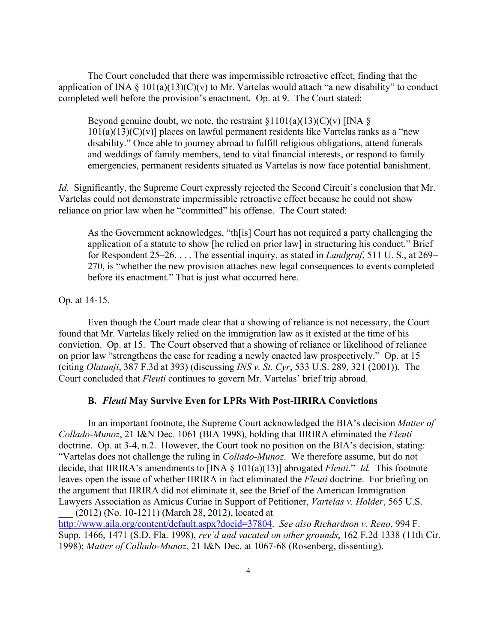The Court concluded that there was impermissible retroactive effect, finding that the application of INA § 101(a)(13)(C)(v) to Mr. Vartelas would attach "a new disability" to conduct completed well before the provision's enactment. Op. at 9. The Court stated:

Beyond genuine doubt, we note, the restraint  $\S1101(a)(13)(C)(v)$  [INA  $\S$ ]  $101(a)(13)(C)(v)$ ] places on lawful permanent residents like Vartelas ranks as a "new disability." Once able to journey abroad to fulfill religious obligations, attend funerals and weddings of family members, tend to vital financial interests, or respond to family emergencies, permanent residents situated as Vartelas is now face potential banishment.

*Id.* Significantly, the Supreme Court expressly rejected the Second Circuit's conclusion that Mr. Vartelas could not demonstrate impermissible retroactive effect because he could not show reliance on prior law when he "committed" his offense. The Court stated:

As the Government acknowledges, "th[is] Court has not required a party challenging the application of a statute to show [he relied on prior law] in structuring his conduct." Brief for Respondent 25–26. . . . The essential inquiry, as stated in *Landgraf*, 511 U. S., at 269– 270, is "whether the new provision attaches new legal consequences to events completed before its enactment." That is just what occurred here.

Op. at 14-15.

Even though the Court made clear that a showing of reliance is not necessary, the Court found that Mr. Vartelas likely relied on the immigration law as it existed at the time of his conviction. Op. at 15. The Court observed that a showing of reliance or likelihood of reliance on prior law "strengthens the case for reading a newly enacted law prospectively." Op. at 15 (citing *Olatunji*, 387 F.3d at 393) (discussing *INS v. St. Cyr*, 533 U.S. 289, 321 (2001)). The Court concluded that *Fleuti* continues to govern Mr. Vartelas' brief trip abroad.

#### **B.** *Fleuti* **May Survive Even for LPRs With Post-IIRIRA Convictions**

In an important footnote, the Supreme Court acknowledged the BIA's decision *Matter of Collado-Munoz*, 21 I&N Dec. 1061 (BIA 1998), holding that IIRIRA eliminated the *Fleuti* doctrine. Op. at 3-4, n.2. However, the Court took no position on the BIA's decision, stating: "Vartelas does not challenge the ruling in *Collado-Munoz*. We therefore assume, but do not decide, that IIRIRA's amendments to [INA § 101(a)(13)] abrogated *Fleuti*." *Id.* This footnote leaves open the issue of whether IIRIRA in fact eliminated the *Fleuti* doctrine. For briefing on the argument that IIRIRA did not eliminate it, see the Brief of the American Immigration Lawyers Association as Amicus Curiae in Support of Petitioner, *Vartelas v. Holder*, 565 U.S.

 $(2012)$  (No. 10-1211) (March 28, 2012), located at http://www.aila.org/content/default.aspx?docid=37804. *See also Richardson v. Reno*, 994 F. Supp. 1466, 1471 (S.D. Fla. 1998), *rev'd and vacated on other grounds*, 162 F.2d 1338 (11th Cir. 1998); *Matter of Collado-Munoz*, 21 I&N Dec. at 1067-68 (Rosenberg, dissenting).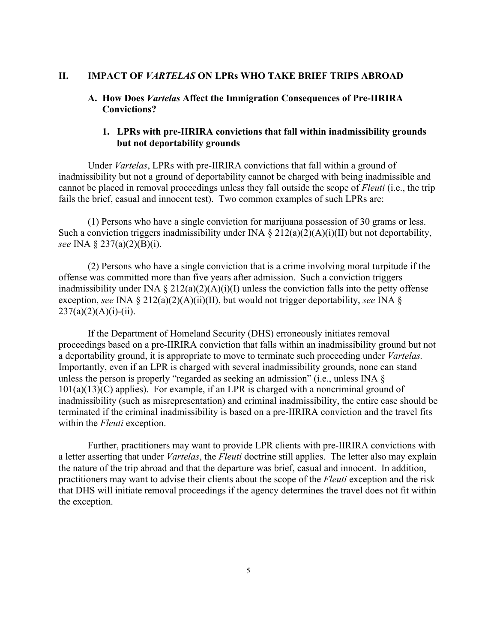### **II. IMPACT OF** *VARTELAS* **ON LPRs WHO TAKE BRIEF TRIPS ABROAD**

### **A. How Does** *Vartelas* **Affect the Immigration Consequences of Pre-IIRIRA Convictions?**

### **1. LPRs with pre-IIRIRA convictions that fall within inadmissibility grounds but not deportability grounds**

Under *Vartelas*, LPRs with pre-IIRIRA convictions that fall within a ground of inadmissibility but not a ground of deportability cannot be charged with being inadmissible and cannot be placed in removal proceedings unless they fall outside the scope of *Fleuti* (i.e., the trip fails the brief, casual and innocent test). Two common examples of such LPRs are:

(1) Persons who have a single conviction for marijuana possession of 30 grams or less. Such a conviction triggers inadmissibility under INA  $\S 212(a)(2)(A)(i)(II)$  but not deportability, *see* INA § 237(a)(2)(B)(i).

(2) Persons who have a single conviction that is a crime involving moral turpitude if the offense was committed more than five years after admission. Such a conviction triggers inadmissibility under INA  $\S 212(a)(2)(A)(i)(I)$  unless the conviction falls into the petty offense exception, *see* INA § 212(a)(2)(A)(ii)(II), but would not trigger deportability, *see* INA §  $237(a)(2)(A)(i)-(ii)$ .

If the Department of Homeland Security (DHS) erroneously initiates removal proceedings based on a pre-IIRIRA conviction that falls within an inadmissibility ground but not a deportability ground, it is appropriate to move to terminate such proceeding under *Vartelas.* Importantly, even if an LPR is charged with several inadmissibility grounds, none can stand unless the person is properly "regarded as seeking an admission" (i.e., unless INA §  $101(a)(13)(C)$  applies). For example, if an LPR is charged with a noncriminal ground of inadmissibility (such as misrepresentation) and criminal inadmissibility, the entire case should be terminated if the criminal inadmissibility is based on a pre-IIRIRA conviction and the travel fits within the *Fleuti* exception.

Further, practitioners may want to provide LPR clients with pre-IIRIRA convictions with a letter asserting that under *Vartelas*, the *Fleuti* doctrine still applies. The letter also may explain the nature of the trip abroad and that the departure was brief, casual and innocent. In addition, practitioners may want to advise their clients about the scope of the *Fleuti* exception and the risk that DHS will initiate removal proceedings if the agency determines the travel does not fit within the exception.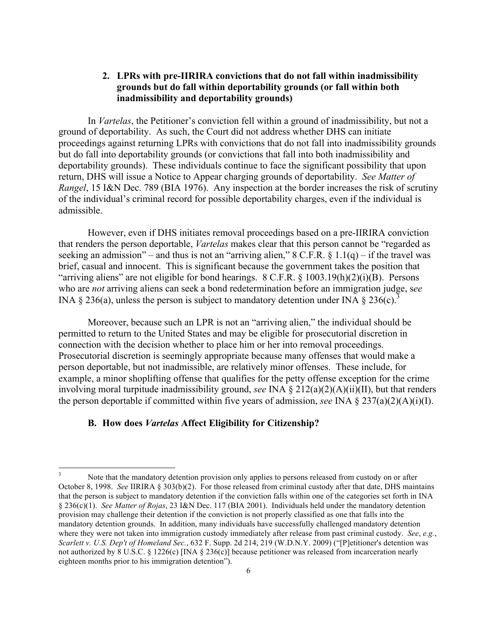## **2. LPRs with pre-IIRIRA convictions that do not fall within inadmissibility grounds but do fall within deportability grounds (or fall within both inadmissibility and deportability grounds)**

In *Vartelas*, the Petitioner's conviction fell within a ground of inadmissibility, but not a ground of deportability. As such, the Court did not address whether DHS can initiate proceedings against returning LPRs with convictions that do not fall into inadmissibility grounds but do fall into deportability grounds (or convictions that fall into both inadmissibility and deportability grounds). These individuals continue to face the significant possibility that upon return, DHS will issue a Notice to Appear charging grounds of deportability. *See Matter of Rangel*, 15 I&N Dec. 789 (BIA 1976). Any inspection at the border increases the risk of scrutiny of the individual's criminal record for possible deportability charges, even if the individual is admissible.

However, even if DHS initiates removal proceedings based on a pre-IIRIRA conviction that renders the person deportable, *Vartelas* makes clear that this person cannot be "regarded as seeking an admission" – and thus is not an "arriving alien,"  $8 \text{ C.F.R.} \& 1.1(q)$  – if the travel was brief, casual and innocent. This is significant because the government takes the position that "arriving aliens" are not eligible for bond hearings. 8 C.F.R. § 1003.19(h)(2)(i)(B). Persons who are *not* arriving aliens can seek a bond redetermination before an immigration judge, s*ee* INA § 236(a), unless the person is subject to mandatory detention under INA § 236(c).<sup>3</sup>

Moreover, because such an LPR is not an "arriving alien," the individual should be permitted to return to the United States and may be eligible for prosecutorial discretion in connection with the decision whether to place him or her into removal proceedings. Prosecutorial discretion is seemingly appropriate because many offenses that would make a person deportable, but not inadmissible, are relatively minor offenses. These include, for example, a minor shoplifting offense that qualifies for the petty offense exception for the crime involving moral turpitude inadmissibility ground, *see* INA § 212(a)(2)(A)(ii)(II), but that renders the person deportable if committed within five years of admission, *see* INA § 237(a)(2)(A)(i)(I).

#### **B. How does** *Vartelas* **Affect Eligibility for Citizenship?**

Note that the mandatory detention provision only applies to persons released from custody on or after October 8, 1998. *See* IIRIRA § 303(b)(2). For those released from criminal custody after that date, DHS maintains that the person is subject to mandatory detention if the conviction falls within one of the categories set forth in INA § 236(c)(1). *See Matter of Rojas*, 23 I&N Dec. 117 (BIA 2001). Individuals held under the mandatory detention provision may challenge their detention if the conviction is not properly classified as one that falls into the mandatory detention grounds. In addition, many individuals have successfully challenged mandatory detention where they were not taken into immigration custody immediately after release from past criminal custody. *See*, *e.g.*, *Scarlett v. U.S. Dep't of Homeland Sec.*, 632 F. Supp. 2d 214, 219 (W.D.N.Y. 2009) ("[P]etitioner's detention was not authorized by 8 U.S.C. § 1226(c) [INA § 236(c)] because petitioner was released from incarceration nearly eighteen months prior to his immigration detention").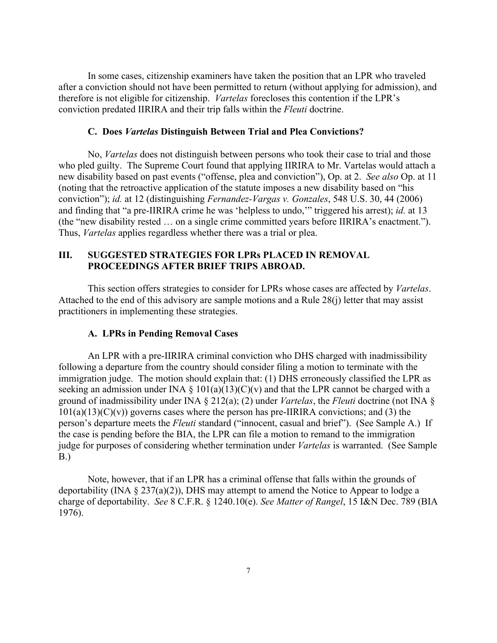In some cases, citizenship examiners have taken the position that an LPR who traveled after a conviction should not have been permitted to return (without applying for admission), and therefore is not eligible for citizenship. *Vartelas* forecloses this contention if the LPR's conviction predated IIRIRA and their trip falls within the *Fleuti* doctrine.

#### **C. Does** *Vartelas* **Distinguish Between Trial and Plea Convictions?**

No, *Vartelas* does not distinguish between persons who took their case to trial and those who pled guilty. The Supreme Court found that applying IIRIRA to Mr. Vartelas would attach a new disability based on past events ("offense, plea and conviction"), Op. at 2. *See also* Op. at 11 (noting that the retroactive application of the statute imposes a new disability based on "his conviction"); *id.* at 12 (distinguishing *Fernandez-Vargas v. Gonzales*, 548 U.S. 30, 44 (2006) and finding that "a pre-IIRIRA crime he was 'helpless to undo,'" triggered his arrest); *id.* at 13 (the "new disability rested … on a single crime committed years before IIRIRA's enactment."). Thus, *Vartelas* applies regardless whether there was a trial or plea.

## **III. SUGGESTED STRATEGIES FOR LPRs PLACED IN REMOVAL PROCEEDINGS AFTER BRIEF TRIPS ABROAD.**

This section offers strategies to consider for LPRs whose cases are affected by *Vartelas*. Attached to the end of this advisory are sample motions and a Rule 28(j) letter that may assist practitioners in implementing these strategies.

#### **A. LPRs in Pending Removal Cases**

An LPR with a pre-IIRIRA criminal conviction who DHS charged with inadmissibility following a departure from the country should consider filing a motion to terminate with the immigration judge. The motion should explain that: (1) DHS erroneously classified the LPR as seeking an admission under INA  $\S$  101(a)(13)(C)(v) and that the LPR cannot be charged with a ground of inadmissibility under INA § 212(a); (2) under *Vartelas*, the *Fleuti* doctrine (not INA §  $101(a)(13)(C)(v)$  governs cases where the person has pre-IIRIRA convictions; and (3) the person's departure meets the *Fleuti* standard ("innocent, casual and brief"). (See Sample A.) If the case is pending before the BIA, the LPR can file a motion to remand to the immigration judge for purposes of considering whether termination under *Vartelas* is warranted. (See Sample B.)

Note, however, that if an LPR has a criminal offense that falls within the grounds of deportability (INA  $\S 237(a)(2)$ ), DHS may attempt to amend the Notice to Appear to lodge a charge of deportability. *See* 8 C.F.R. § 1240.10(e). *See Matter of Rangel*, 15 I&N Dec. 789 (BIA 1976).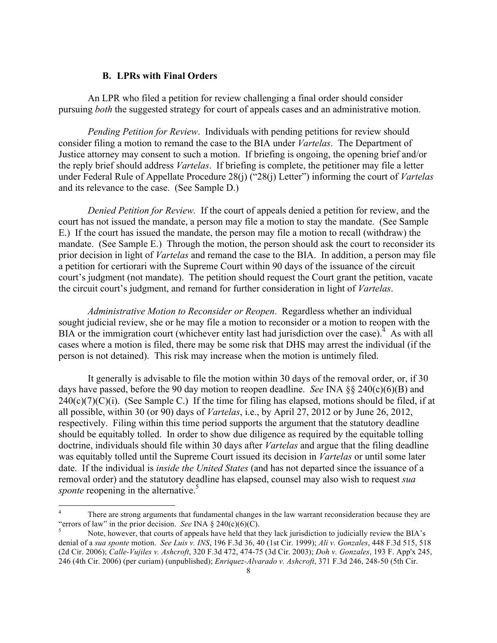#### **B. LPRs with Final Orders**

An LPR who filed a petition for review challenging a final order should consider pursuing *both* the suggested strategy for court of appeals cases and an administrative motion.

*Pending Petition for Review*. Individuals with pending petitions for review should consider filing a motion to remand the case to the BIA under *Vartelas*. The Department of Justice attorney may consent to such a motion. If briefing is ongoing, the opening brief and/or the reply brief should address *Vartelas*. If briefing is complete, the petitioner may file a letter under Federal Rule of Appellate Procedure 28(j) ("28(j) Letter") informing the court of *Vartelas* and its relevance to the case. (See Sample D.)

*Denied Petition for Review.* If the court of appeals denied a petition for review, and the court has not issued the mandate, a person may file a motion to stay the mandate. (See Sample E.) If the court has issued the mandate, the person may file a motion to recall (withdraw) the mandate. (See Sample E.) Through the motion, the person should ask the court to reconsider its prior decision in light of *Vartelas* and remand the case to the BIA. In addition, a person may file a petition for certiorari with the Supreme Court within 90 days of the issuance of the circuit court's judgment (not mandate). The petition should request the Court grant the petition, vacate the circuit court's judgment, and remand for further consideration in light of *Vartelas*.

*Administrative Motion to Reconsider or Reopen*. Regardless whether an individual sought judicial review, she or he may file a motion to reconsider or a motion to reopen with the BIA or the immigration court (whichever entity last had jurisdiction over the case). $4$  As with all cases where a motion is filed, there may be some risk that DHS may arrest the individual (if the person is not detained). This risk may increase when the motion is untimely filed.

It generally is advisable to file the motion within 30 days of the removal order, or, if 30 days have passed, before the 90 day motion to reopen deadline. *See* INA §§ 240(c)(6)(B) and  $240(c)(7)(C)(i)$ . (See Sample C.) If the time for filing has elapsed, motions should be filed, if at all possible, within 30 (or 90) days of *Vartelas*, i.e., by April 27, 2012 or by June 26, 2012, respectively. Filing within this time period supports the argument that the statutory deadline should be equitably tolled. In order to show due diligence as required by the equitable tolling doctrine, individuals should file within 30 days after *Vartelas* and argue that the filing deadline was equitably tolled until the Supreme Court issued its decision in *Vartelas* or until some later date. If the individual is *inside the United States* (and has not departed since the issuance of a removal order) and the statutory deadline has elapsed, counsel may also wish to request *sua sponte* reopening in the alternative.<sup>5</sup>

There are strong arguments that fundamental changes in the law warrant reconsideration because they are "errors of law" in the prior decision. *See* INA § 240(c)(6)(C).<br><sup>5</sup> Note, however, that courts of appeals have held that they lack jurisdiction to judicially review the BIA's

denial of a *sua sponte* motion. *See Luis v. INS*, 196 F.3d 36, 40 (1st Cir. 1999); *Ali v. Gonzales*, 448 F.3d 515, 518 (2d Cir. 2006); *Calle-Vujiles v. Ashcroft*, 320 F.3d 472, 474-75 (3d Cir. 2003); *Doh v. Gonzales*, 193 F. App'x 245, 246 (4th Cir. 2006) (per curiam) (unpublished); *Enriquez-Alvarado v. Ashcroft*, 371 F.3d 246, 248-50 (5th Cir.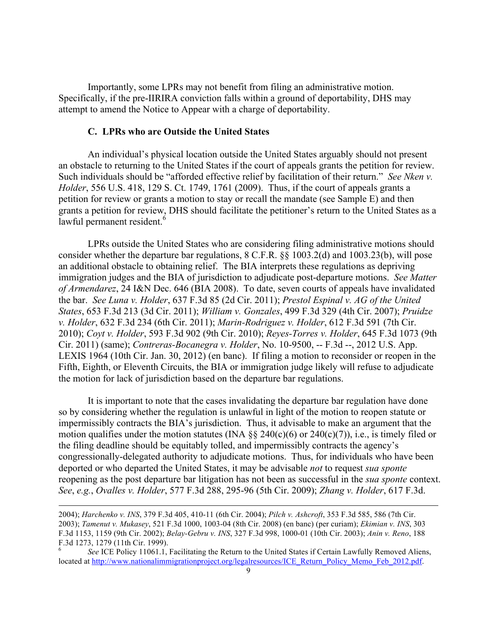Importantly, some LPRs may not benefit from filing an administrative motion. Specifically, if the pre-IIRIRA conviction falls within a ground of deportability, DHS may attempt to amend the Notice to Appear with a charge of deportability.

#### **C. LPRs who are Outside the United States**

An individual's physical location outside the United States arguably should not present an obstacle to returning to the United States if the court of appeals grants the petition for review. Such individuals should be "afforded effective relief by facilitation of their return." *See Nken v. Holder*, 556 U.S. 418, 129 S. Ct. 1749, 1761 (2009). Thus, if the court of appeals grants a petition for review or grants a motion to stay or recall the mandate (see Sample E) and then grants a petition for review, DHS should facilitate the petitioner's return to the United States as a lawful permanent resident.<sup>6</sup>

LPRs outside the United States who are considering filing administrative motions should consider whether the departure bar regulations, 8 C.F.R. §§ 1003.2(d) and 1003.23(b), will pose an additional obstacle to obtaining relief. The BIA interprets these regulations as depriving immigration judges and the BIA of jurisdiction to adjudicate post-departure motions. *See Matter of Armendarez*, 24 I&N Dec. 646 (BIA 2008). To date, seven courts of appeals have invalidated the bar. *See Luna v. Holder*, 637 F.3d 85 (2d Cir. 2011); *Prestol Espinal v. AG of the United States*, 653 F.3d 213 (3d Cir. 2011); *William v. Gonzales*, 499 F.3d 329 (4th Cir. 2007); *Pruidze v. Holder*, 632 F.3d 234 (6th Cir. 2011); *Marin-Rodriguez v. Holder*, 612 F.3d 591 (7th Cir. 2010); *Coyt v. Holder*, 593 F.3d 902 (9th Cir. 2010); *Reyes-Torres v. Holder*, 645 F.3d 1073 (9th Cir. 2011) (same); *Contreras-Bocanegra v. Holder*, No. 10-9500, -- F.3d --, 2012 U.S. App. LEXIS 1964 (10th Cir. Jan. 30, 2012) (en banc). If filing a motion to reconsider or reopen in the Fifth, Eighth, or Eleventh Circuits, the BIA or immigration judge likely will refuse to adjudicate the motion for lack of jurisdiction based on the departure bar regulations.

It is important to note that the cases invalidating the departure bar regulation have done so by considering whether the regulation is unlawful in light of the motion to reopen statute or impermissibly contracts the BIA's jurisdiction. Thus, it advisable to make an argument that the motion qualifies under the motion statutes (INA  $\S$  240(c)(6) or 240(c)(7)), i.e., is timely filed or the filing deadline should be equitably tolled, and impermissibly contracts the agency's congressionally-delegated authority to adjudicate motions. Thus, for individuals who have been deported or who departed the United States, it may be advisable *not* to request *sua sponte* reopening as the post departure bar litigation has not been as successful in the *sua sponte* context. *See*, *e.g.*, *Ovalles v. Holder*, 577 F.3d 288, 295-96 (5th Cir. 2009); *Zhang v. Holder*, 617 F.3d.

!!!!!!!!!!!!!!!!!!!!!!!!!!!!!!!!!!!!!!!!!!!!!!!!!!!!!!!!!!!!!!!!!!!!!!!!!!!!!!!!!!!!!!!!!!!!!!!!!!!!!!!!!!!!!!!!!!!!!!!!!!!!!!!!!!!!!!!!!!!!!!!!!!!!!!!!!!!!!!!!!!!!!!!!!!!!!!!!!!

<sup>2004);</sup> *Harchenko v. INS*, 379 F.3d 405, 410-11 (6th Cir. 2004); *Pilch v. Ashcroft*, 353 F.3d 585, 586 (7th Cir. 2003); *Tamenut v. Mukasey*, 521 F.3d 1000, 1003-04 (8th Cir. 2008) (en banc) (per curiam); *Ekimian v. INS*, 303 F.3d 1153, 1159 (9th Cir. 2002); *Belay-Gebru v. INS*, 327 F.3d 998, 1000-01 (10th Cir. 2003); *Anin v. Reno*, 188 F.3d 1273, 1279 (11th Cir. 1999).

<sup>6</sup> *See* ICE Policy 11061.1, Facilitating the Return to the United States if Certain Lawfully Removed Aliens, located at http://www.nationalimmigrationproject.org/legalresources/ICE\_Return\_Policy\_Memo\_Feb\_2012.pdf.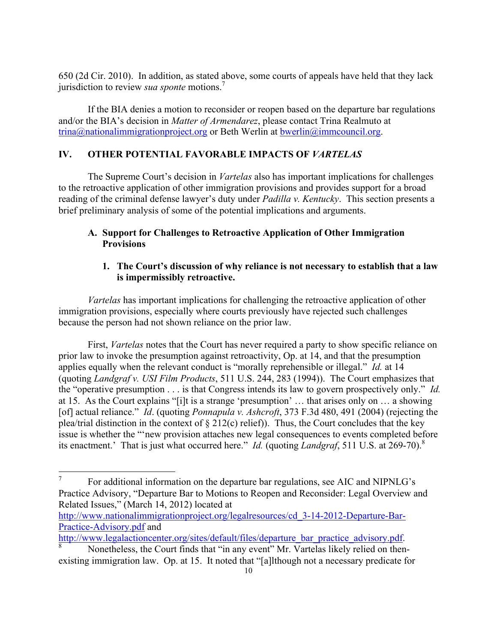650 (2d Cir. 2010). In addition, as stated above, some courts of appeals have held that they lack jurisdiction to review *sua sponte* motions.<sup>7</sup>

If the BIA denies a motion to reconsider or reopen based on the departure bar regulations and/or the BIA's decision in *Matter of Armendarez*, please contact Trina Realmuto at trina@nationalimmigrationproject.org or Beth Werlin at bwerlin@immcouncil.org.

# **IV. OTHER POTENTIAL FAVORABLE IMPACTS OF** *VARTELAS*

The Supreme Court's decision in *Vartelas* also has important implications for challenges to the retroactive application of other immigration provisions and provides support for a broad reading of the criminal defense lawyer's duty under *Padilla v. Kentucky*. This section presents a brief preliminary analysis of some of the potential implications and arguments.

## **A. Support for Challenges to Retroactive Application of Other Immigration Provisions**

### **1. The Court's discussion of why reliance is not necessary to establish that a law is impermissibly retroactive.**

*Vartelas* has important implications for challenging the retroactive application of other immigration provisions, especially where courts previously have rejected such challenges because the person had not shown reliance on the prior law.

First, *Vartelas* notes that the Court has never required a party to show specific reliance on prior law to invoke the presumption against retroactivity, Op. at 14, and that the presumption applies equally when the relevant conduct is "morally reprehensible or illegal." *Id.* at 14 (quoting *Landgraf v. USI Film Products*, 511 U.S. 244, 283 (1994)). The Court emphasizes that the "operative presumption . . . is that Congress intends its law to govern prospectively only." *Id.*  at 15. As the Court explains "[i]t is a strange 'presumption' … that arises only on … a showing [of] actual reliance." *Id*. (quoting *Ponnapula v. Ashcroft*, 373 F.3d 480, 491 (2004) (rejecting the plea/trial distinction in the context of § 212(c) relief)). Thus, the Court concludes that the key issue is whether the "'new provision attaches new legal consequences to events completed before its enactment.' That is just what occurred here." *Id.* (quoting *Landgraf*, 511 U.S. at 269-70).<sup>8</sup>

 $\frac{7}{10}$  For additional information on the departure bar regulations, see AIC and NIPNLG's Practice Advisory, "Departure Bar to Motions to Reopen and Reconsider: Legal Overview and Related Issues," (March 14, 2012) located at

http://www.nationalimmigrationproject.org/legalresources/cd\_3-14-2012-Departure-Bar-Practice-Advisory.pdf and

http://www.legalactioncenter.org/sites/default/files/departure\_bar\_practice\_advisory.pdf.<br><sup>8</sup> Nonetheless, the Court finds that "in any event" Mr. Vartelas likely relied on then-

existing immigration law. Op. at 15. It noted that "[a]lthough not a necessary predicate for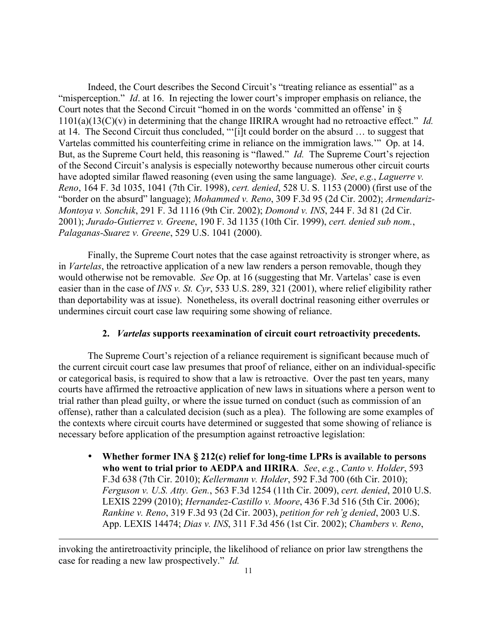Indeed, the Court describes the Second Circuit's "treating reliance as essential" as a "misperception." *Id.* at 16. In rejecting the lower court's improper emphasis on reliance, the Court notes that the Second Circuit "homed in on the words 'committed an offense' in § 1101(a)(13(C)(v) in determining that the change IIRIRA wrought had no retroactive effect." *Id.*  at 14. The Second Circuit thus concluded, "'[i]t could border on the absurd … to suggest that Vartelas committed his counterfeiting crime in reliance on the immigration laws.'" Op. at 14. But, as the Supreme Court held, this reasoning is "flawed." *Id.* The Supreme Court's rejection of the Second Circuit's analysis is especially noteworthy because numerous other circuit courts have adopted similar flawed reasoning (even using the same language). *See*, *e.g.*, *Laguerre v. Reno*, 164 F. 3d 1035, 1041 (7th Cir. 1998), *cert. denied*, 528 U. S. 1153 (2000) (first use of the "border on the absurd" language); *Mohammed v. Reno*, 309 F.3d 95 (2d Cir. 2002); *Armendariz-Montoya v. Sonchik*, 291 F. 3d 1116 (9th Cir. 2002); *Domond v. INS*, 244 F. 3d 81 (2d Cir. 2001); *Jurado-Gutierrez v. Greene*, 190 F. 3d 1135 (10th Cir. 1999), *cert. denied sub nom.*, *Palaganas-Suarez v. Greene*, 529 U.S. 1041 (2000).

Finally, the Supreme Court notes that the case against retroactivity is stronger where, as in *Vartelas*, the retroactive application of a new law renders a person removable, though they would otherwise not be removable. *See* Op. at 16 (suggesting that Mr. Vartelas' case is even easier than in the case of *INS v. St. Cyr*, 533 U.S. 289, 321 (2001), where relief eligibility rather than deportability was at issue). Nonetheless, its overall doctrinal reasoning either overrules or undermines circuit court case law requiring some showing of reliance.

#### **2.** *Vartelas* **supports reexamination of circuit court retroactivity precedents.**

The Supreme Court's rejection of a reliance requirement is significant because much of the current circuit court case law presumes that proof of reliance, either on an individual-specific or categorical basis, is required to show that a law is retroactive. Over the past ten years, many courts have affirmed the retroactive application of new laws in situations where a person went to trial rather than plead guilty, or where the issue turned on conduct (such as commission of an offense), rather than a calculated decision (such as a plea). The following are some examples of the contexts where circuit courts have determined or suggested that some showing of reliance is necessary before application of the presumption against retroactive legislation:

• **Whether former INA § 212(c) relief for long-time LPRs is available to persons who went to trial prior to AEDPA and IIRIRA**. *See*, *e.g.*, *Canto v. Holder*, 593 F.3d 638 (7th Cir. 2010); *Kellermann v. Holder*, 592 F.3d 700 (6th Cir. 2010); *Ferguson v. U.S. Atty. Gen.*, 563 F.3d 1254 (11th Cir. 2009), *cert. denied*, 2010 U.S. LEXIS 2299 (2010); *Hernandez-Castillo v. Moore*, 436 F.3d 516 (5th Cir. 2006); *Rankine v. Reno*, 319 F.3d 93 (2d Cir. 2003), *petition for reh'g denied*, 2003 U.S. App. LEXIS 14474; *Dias v. INS*, 311 F.3d 456 (1st Cir. 2002); *Chambers v. Reno*,

invoking the antiretroactivity principle, the likelihood of reliance on prior law strengthens the case for reading a new law prospectively." *Id.*

!!!!!!!!!!!!!!!!!!!!!!!!!!!!!!!!!!!!!!!!!!!!!!!!!!!!!!!!!!!!!!!!!!!!!!!!!!!!!!!!!!!!!!!!!!!!!!!!!!!!!!!!!!!!!!!!!!!!!!!!!!!!!!!!!!!!!!!!!!!!!!!!!!!!!!!!!!!!!!!!!!!!!!!!!!!!!!!!!!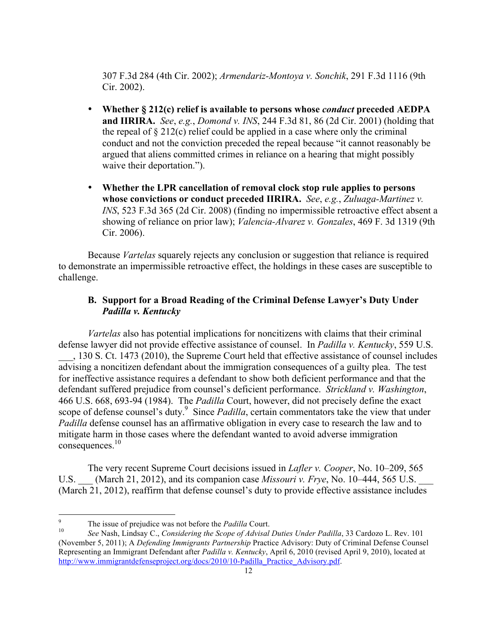307 F.3d 284 (4th Cir. 2002); *Armendariz-Montoya v. Sonchik*, 291 F.3d 1116 (9th Cir. 2002).

- **Whether § 212(c) relief is available to persons whose** *conduct* **preceded AEDPA and IIRIRA.** *See*, *e.g.*, *Domond v. INS*, 244 F.3d 81, 86 (2d Cir. 2001) (holding that the repeal of  $\S 212(c)$  relief could be applied in a case where only the criminal conduct and not the conviction preceded the repeal because "it cannot reasonably be argued that aliens committed crimes in reliance on a hearing that might possibly waive their deportation.").
- **Whether the LPR cancellation of removal clock stop rule applies to persons whose convictions or conduct preceded IIRIRA.** *See*, *e.g.*, *Zuluaga-Martinez v. INS*, 523 F.3d 365 (2d Cir. 2008) (finding no impermissible retroactive effect absent a showing of reliance on prior law); *Valencia-Alvarez v. Gonzales*, 469 F. 3d 1319 (9th Cir. 2006).

Because *Vartelas* squarely rejects any conclusion or suggestion that reliance is required to demonstrate an impermissible retroactive effect, the holdings in these cases are susceptible to challenge.

## **B. Support for a Broad Reading of the Criminal Defense Lawyer's Duty Under**  *Padilla v. Kentucky*

*Vartelas* also has potential implications for noncitizens with claims that their criminal defense lawyer did not provide effective assistance of counsel. In *Padilla v. Kentucky*, 559 U.S. \_\_\_, 130 S. Ct. 1473 (2010), the Supreme Court held that effective assistance of counsel includes advising a noncitizen defendant about the immigration consequences of a guilty plea. The test for ineffective assistance requires a defendant to show both deficient performance and that the defendant suffered prejudice from counsel's deficient performance. *Strickland v. Washington*, 466 U.S. 668, 693-94 (1984). The *Padilla* Court, however, did not precisely define the exact scope of defense counsel's duty.<sup>9</sup> Since *Padilla*, certain commentators take the view that under *Padilla* defense counsel has an affirmative obligation in every case to research the law and to mitigate harm in those cases where the defendant wanted to avoid adverse immigration consequences.<sup>10</sup>

The very recent Supreme Court decisions issued in *Lafler v. Cooper*, No. 10–209, 565 U.S. (March 21, 2012), and its companion case *Missouri v. Frye*, No. 10–444, 565 U.S. (March 21, 2012), reaffirm that defense counsel's duty to provide effective assistance includes

<sup>&</sup>lt;sup>9</sup> The issue of prejudice was not before the *Padilla* Court.<br><sup>10</sup> See Nash, Lindsay C., *Considering the Scope of Advisal Duties Under Padilla*, 33 Cardozo L. Rev. 101 (November 5, 2011); A *Defending Immigrants Partnership* Practice Advisory: Duty of Criminal Defense Counsel Representing an Immigrant Defendant after *Padilla v. Kentucky*, April 6, 2010 (revised April 9, 2010), located at http://www.immigrantdefenseproject.org/docs/2010/10-Padilla\_Practice\_Advisory.pdf.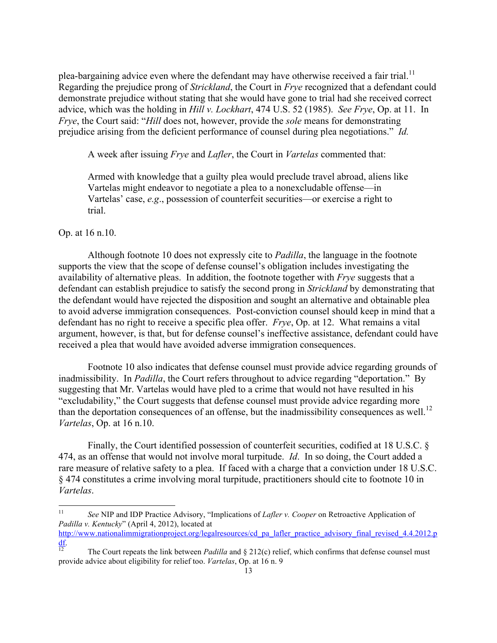plea-bargaining advice even where the defendant may have otherwise received a fair trial.<sup>11</sup> Regarding the prejudice prong of *Strickland*, the Court in *Frye* recognized that a defendant could demonstrate prejudice without stating that she would have gone to trial had she received correct advice, which was the holding in *Hill v. Lockhart*, 474 U.S. 52 (1985). *See Frye*, Op. at 11. In *Frye*, the Court said: "*Hill* does not, however, provide the *sole* means for demonstrating prejudice arising from the deficient performance of counsel during plea negotiations." *Id.*

A week after issuing *Frye* and *Lafler*, the Court in *Vartelas* commented that:

Armed with knowledge that a guilty plea would preclude travel abroad, aliens like Vartelas might endeavor to negotiate a plea to a nonexcludable offense—in Vartelas' case, *e.g*., possession of counterfeit securities—or exercise a right to trial.

#### Op. at 16 n.10.

Although footnote 10 does not expressly cite to *Padilla*, the language in the footnote supports the view that the scope of defense counsel's obligation includes investigating the availability of alternative pleas. In addition, the footnote together with *Frye* suggests that a defendant can establish prejudice to satisfy the second prong in *Strickland* by demonstrating that the defendant would have rejected the disposition and sought an alternative and obtainable plea to avoid adverse immigration consequences. Post-conviction counsel should keep in mind that a defendant has no right to receive a specific plea offer. *Frye*, Op. at 12. What remains a vital argument, however, is that, but for defense counsel's ineffective assistance, defendant could have received a plea that would have avoided adverse immigration consequences.

Footnote 10 also indicates that defense counsel must provide advice regarding grounds of inadmissibility. In *Padilla*, the Court refers throughout to advice regarding "deportation." By suggesting that Mr. Vartelas would have pled to a crime that would not have resulted in his "excludability," the Court suggests that defense counsel must provide advice regarding more than the deportation consequences of an offense, but the inadmissibility consequences as well.<sup>12</sup> *Vartelas*, Op. at 16 n.10.

Finally, the Court identified possession of counterfeit securities, codified at 18 U.S.C. § 474, as an offense that would not involve moral turpitude. *Id*. In so doing, the Court added a rare measure of relative safety to a plea. If faced with a charge that a conviction under 18 U.S.C. § 474 constitutes a crime involving moral turpitude, practitioners should cite to footnote 10 in *Vartelas*.

<sup>&</sup>lt;sup>11</sup> See NIP and IDP Practice Advisory, "Implications of *Lafler v. Cooper* on Retroactive Application of *Padilla v. Kentucky*" (April 4, 2012), located at

http://www.nationalimmigrationproject.org/legalresources/cd\_pa\_lafler\_practice\_advisory\_final\_revised\_4.4.2012.p  $\frac{df}{12}$  The Court repeats the link between *Padilla* and § 212(c) relief, which confirms that defense counsel must

provide advice about eligibility for relief too. *Vartelas*, Op. at 16 n. 9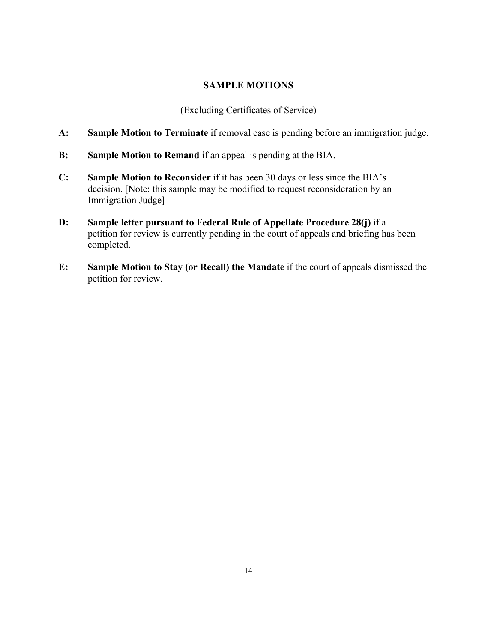## **SAMPLE MOTIONS**

(Excluding Certificates of Service)

- **A: Sample Motion to Terminate** if removal case is pending before an immigration judge.
- **B: Sample Motion to Remand** if an appeal is pending at the BIA.
- **C: Sample Motion to Reconsider** if it has been 30 days or less since the BIA's decision. [Note: this sample may be modified to request reconsideration by an Immigration Judge]
- **D: Sample letter pursuant to Federal Rule of Appellate Procedure 28(j)** if a petition for review is currently pending in the court of appeals and briefing has been completed.
- **E: Sample Motion to Stay (or Recall) the Mandate** if the court of appeals dismissed the petition for review.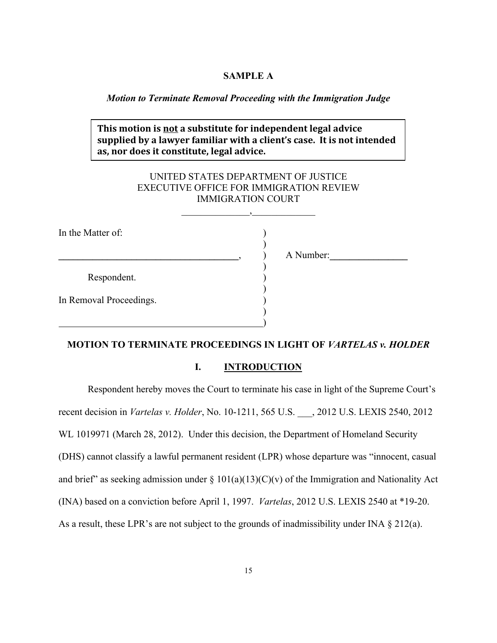### **SAMPLE A**

### *Motion to Terminate Removal Proceeding with the Immigration Judge*

# **This motion is not a substitute for independent legal advice** supplied by a lawyer familiar with a client's case. It is not intended **as,%nor%does it%constitute,%legal%advice.**

# UNITED STATES DEPARTMENT OF JUSTICE EXECUTIVE OFFICE FOR IMMIGRATION REVIEW IMMIGRATION COURT

 $\overline{\phantom{a}}$ 

| In the Matter of:       |  |
|-------------------------|--|
|                         |  |
| Respondent.             |  |
| In Removal Proceedings. |  |
|                         |  |

**\_\_\_\_\_\_\_\_\_\_\_\_\_\_\_\_\_\_\_\_\_\_\_\_\_\_\_\_\_\_\_\_\_\_\_\_\_**, ) A Number:**\_\_\_\_\_\_\_\_\_\_\_\_\_\_\_\_**

### **MOTION TO TERMINATE PROCEEDINGS IN LIGHT OF** *VARTELAS v. HOLDER*

### **I. INTRODUCTION**

Respondent hereby moves the Court to terminate his case in light of the Supreme Court's recent decision in *Vartelas v. Holder*, No. 10-1211, 565 U.S. \_\_\_, 2012 U.S. LEXIS 2540, 2012 WL 1019971 (March 28, 2012). Under this decision, the Department of Homeland Security (DHS) cannot classify a lawful permanent resident (LPR) whose departure was "innocent, casual and brief" as seeking admission under  $\S$  101(a)(13)(C)(v) of the Immigration and Nationality Act (INA) based on a conviction before April 1, 1997. *Vartelas*, 2012 U.S. LEXIS 2540 at \*19-20. As a result, these LPR's are not subject to the grounds of inadmissibility under INA § 212(a).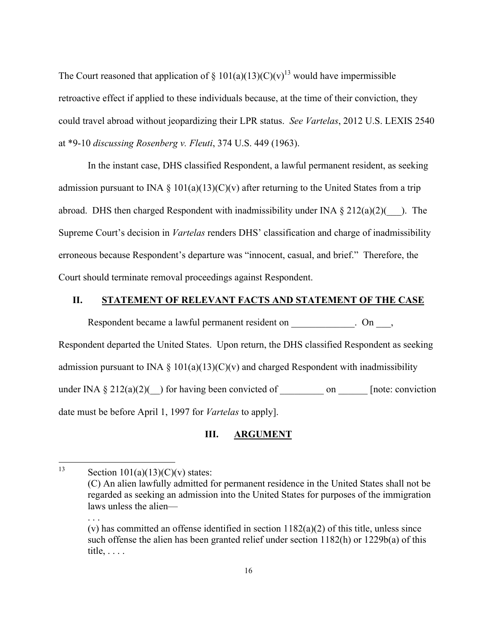The Court reasoned that application of  $\S 101(a)(13)(C)(v)^{13}$  would have impermissible retroactive effect if applied to these individuals because, at the time of their conviction, they could travel abroad without jeopardizing their LPR status. *See Vartelas*, 2012 U.S. LEXIS 2540 at \*9-10 *discussing Rosenberg v. Fleuti*, 374 U.S. 449 (1963).

In the instant case, DHS classified Respondent, a lawful permanent resident, as seeking admission pursuant to INA  $\S$  101(a)(13)(C)(v) after returning to the United States from a trip abroad. DHS then charged Respondent with inadmissibility under INA  $\S 212(a)(2)$  ). The Supreme Court's decision in *Vartelas* renders DHS' classification and charge of inadmissibility erroneous because Respondent's departure was "innocent, casual, and brief." Therefore, the Court should terminate removal proceedings against Respondent.

### **II. STATEMENT OF RELEVANT FACTS AND STATEMENT OF THE CASE**

Respondent became a lawful permanent resident on  $\Box$  On  $\Box$ , Respondent departed the United States. Upon return, the DHS classified Respondent as seeking admission pursuant to INA  $\S$  101(a)(13)(C)(v) and charged Respondent with inadmissibility under INA  $\S 212(a)(2)($  for having been convicted of \_\_\_\_\_\_\_\_\_\_\_\_ on \_\_\_\_\_\_\_ [note: conviction date must be before April 1, 1997 for *Vartelas* to apply].

### **III. ARGUMENT**

. . .

<sup>&</sup>lt;sup>13</sup> Section  $101(a)(13)(C)(v)$  states:

<sup>(</sup>C) An alien lawfully admitted for permanent residence in the United States shall not be regarded as seeking an admission into the United States for purposes of the immigration laws unless the alien—

<sup>(</sup>v) has committed an offense identified in section 1182(a)(2) of this title, unless since such offense the alien has been granted relief under section 1182(h) or 1229b(a) of this title, . . . .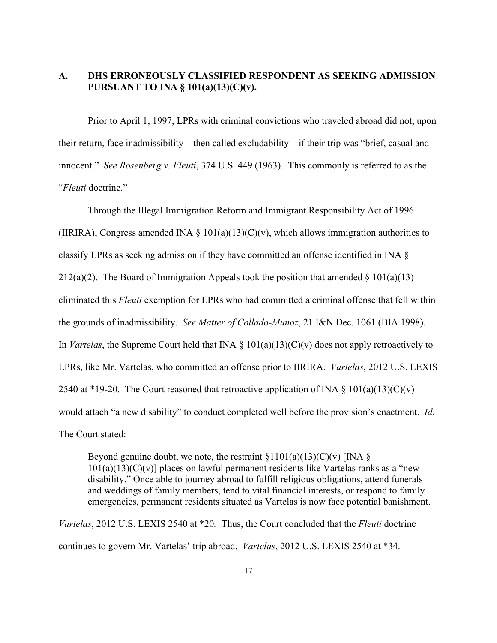# **A. DHS ERRONEOUSLY CLASSIFIED RESPONDENT AS SEEKING ADMISSION PURSUANT TO INA § 101(a)(13)(C)(v).**

Prior to April 1, 1997, LPRs with criminal convictions who traveled abroad did not, upon their return, face inadmissibility – then called excludability – if their trip was "brief, casual and innocent." *See Rosenberg v. Fleuti*, 374 U.S. 449 (1963). This commonly is referred to as the "*Fleuti* doctrine."

Through the Illegal Immigration Reform and Immigrant Responsibility Act of 1996 (IIRIRA), Congress amended INA § 101(a)(13)(C)(v), which allows immigration authorities to classify LPRs as seeking admission if they have committed an offense identified in INA § 212(a)(2). The Board of Immigration Appeals took the position that amended  $\S 101(a)(13)$ eliminated this *Fleuti* exemption for LPRs who had committed a criminal offense that fell within the grounds of inadmissibility. *See Matter of Collado-Munoz*, 21 I&N Dec. 1061 (BIA 1998). In *Vartelas*, the Supreme Court held that INA § 101(a)(13)(C)(v) does not apply retroactively to LPRs, like Mr. Vartelas, who committed an offense prior to IIRIRA. *Vartelas*, 2012 U.S. LEXIS 2540 at \*19-20. The Court reasoned that retroactive application of INA  $\S$  101(a)(13)(C)(v) would attach "a new disability" to conduct completed well before the provision's enactment. *Id*. The Court stated:

Beyond genuine doubt, we note, the restraint  $\S1101(a)(13)(C)(v)$  [INA  $\S$ ]  $101(a)(13)(C)(v)$ ] places on lawful permanent residents like Vartelas ranks as a "new disability." Once able to journey abroad to fulfill religious obligations, attend funerals and weddings of family members, tend to vital financial interests, or respond to family emergencies, permanent residents situated as Vartelas is now face potential banishment.

*Vartelas*, 2012 U.S. LEXIS 2540 at \*20*.* Thus, the Court concluded that the *Fleuti* doctrine continues to govern Mr. Vartelas' trip abroad. *Vartelas*, 2012 U.S. LEXIS 2540 at \*34.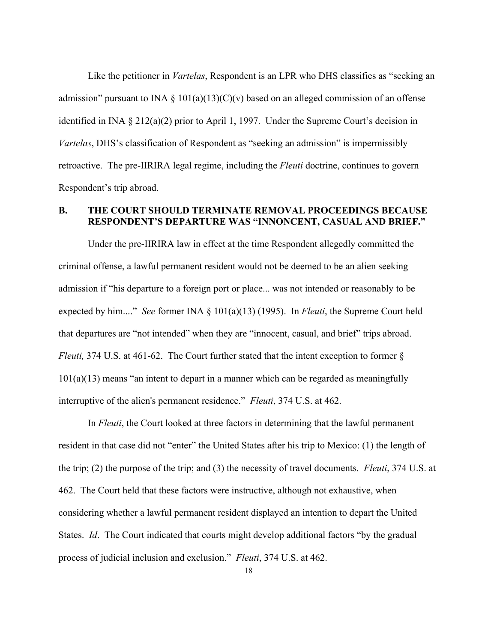Like the petitioner in *Vartelas*, Respondent is an LPR who DHS classifies as "seeking an admission" pursuant to INA  $\S$  101(a)(13)(C)(v) based on an alleged commission of an offense identified in INA § 212(a)(2) prior to April 1, 1997. Under the Supreme Court's decision in *Vartelas*, DHS's classification of Respondent as "seeking an admission" is impermissibly retroactive. The pre-IIRIRA legal regime, including the *Fleuti* doctrine, continues to govern Respondent's trip abroad.

## **B. THE COURT SHOULD TERMINATE REMOVAL PROCEEDINGS BECAUSE RESPONDENT'S DEPARTURE WAS "INNONCENT, CASUAL AND BRIEF."**

Under the pre-IIRIRA law in effect at the time Respondent allegedly committed the criminal offense, a lawful permanent resident would not be deemed to be an alien seeking admission if "his departure to a foreign port or place... was not intended or reasonably to be expected by him...." *See* former INA § 101(a)(13) (1995). In *Fleuti*, the Supreme Court held that departures are "not intended" when they are "innocent, casual, and brief" trips abroad. *Fleuti,* 374 U.S. at 461-62. The Court further stated that the intent exception to former § 101(a)(13) means "an intent to depart in a manner which can be regarded as meaningfully interruptive of the alien's permanent residence." *Fleuti*, 374 U.S. at 462.

In *Fleuti*, the Court looked at three factors in determining that the lawful permanent resident in that case did not "enter" the United States after his trip to Mexico: (1) the length of the trip; (2) the purpose of the trip; and (3) the necessity of travel documents. *Fleuti*, 374 U.S. at 462. The Court held that these factors were instructive, although not exhaustive, when considering whether a lawful permanent resident displayed an intention to depart the United States. *Id*. The Court indicated that courts might develop additional factors "by the gradual process of judicial inclusion and exclusion." *Fleuti*, 374 U.S. at 462.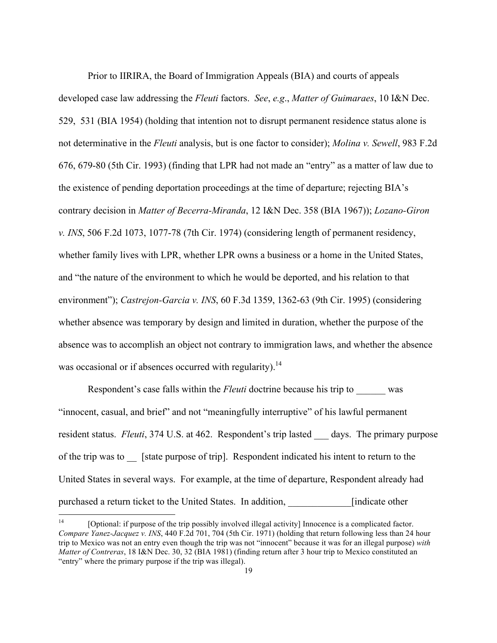Prior to IIRIRA, the Board of Immigration Appeals (BIA) and courts of appeals developed case law addressing the *Fleuti* factors. *See*, *e.g*., *Matter of Guimaraes*, 10 I&N Dec. 529, 531 (BIA 1954) (holding that intention not to disrupt permanent residence status alone is not determinative in the *Fleuti* analysis, but is one factor to consider); *Molina v. Sewell*, 983 F.2d 676, 679-80 (5th Cir. 1993) (finding that LPR had not made an "entry" as a matter of law due to the existence of pending deportation proceedings at the time of departure; rejecting BIA's contrary decision in *Matter of Becerra-Miranda*, 12 I&N Dec. 358 (BIA 1967)); *Lozano-Giron v. INS*, 506 F.2d 1073, 1077-78 (7th Cir. 1974) (considering length of permanent residency, whether family lives with LPR, whether LPR owns a business or a home in the United States, and "the nature of the environment to which he would be deported, and his relation to that environment"); *Castrejon-Garcia v. INS*, 60 F.3d 1359, 1362-63 (9th Cir. 1995) (considering whether absence was temporary by design and limited in duration, whether the purpose of the absence was to accomplish an object not contrary to immigration laws, and whether the absence was occasional or if absences occurred with regularity).<sup>14</sup>

Respondent's case falls within the *Fleuti* doctrine because his trip to was "innocent, casual, and brief" and not "meaningfully interruptive" of his lawful permanent resident status. *Fleuti*, 374 U.S. at 462. Respondent's trip lasted days. The primary purpose of the trip was to [state purpose of trip]. Respondent indicated his intent to return to the United States in several ways. For example, at the time of departure, Respondent already had purchased a return ticket to the United States. In addition, [indicate other

<sup>&</sup>lt;sup>14</sup> [Optional: if purpose of the trip possibly involved illegal activity] Innocence is a complicated factor. *Compare Yanez-Jacquez v. INS*, 440 F.2d 701, 704 (5th Cir. 1971) (holding that return following less than 24 hour trip to Mexico was not an entry even though the trip was not "innocent" because it was for an illegal purpose) *with Matter of Contreras*, 18 I&N Dec. 30, 32 (BIA 1981) (finding return after 3 hour trip to Mexico constituted an "entry" where the primary purpose if the trip was illegal).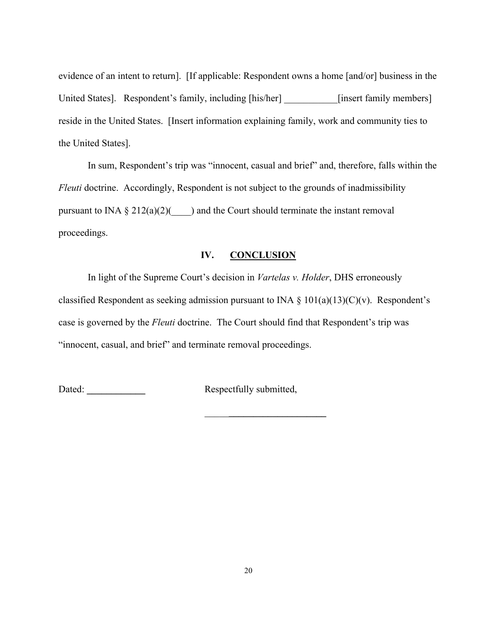evidence of an intent to return]. [If applicable: Respondent owns a home [and/or] business in the United States]. Respondent's family, including [his/her] [insert family members] reside in the United States. [Insert information explaining family, work and community ties to the United States].

In sum, Respondent's trip was "innocent, casual and brief" and, therefore, falls within the *Fleuti* doctrine. Accordingly, Respondent is not subject to the grounds of inadmissibility pursuant to INA  $\S 212(a)(2)($  and the Court should terminate the instant removal proceedings.

### **IV. CONCLUSION**

In light of the Supreme Court's decision in *Vartelas v. Holder*, DHS erroneously classified Respondent as seeking admission pursuant to INA  $\S$  101(a)(13)(C)(v). Respondent's case is governed by the *Fleuti* doctrine. The Court should find that Respondent's trip was "innocent, casual, and brief" and terminate removal proceedings.

Dated: **Let up a Let up a Let up a Let up a Let up a Let up a Let up a Let up a Let up a Let up a Let up a Let up a Let up a Let up a Let up a Let up a Let up a Let up a Let up a Let up a Let up a Let up a Let up a Let up** 

\_\_\_\_\_**\_\_\_\_\_\_\_\_\_\_\_\_\_\_\_\_\_\_\_\_**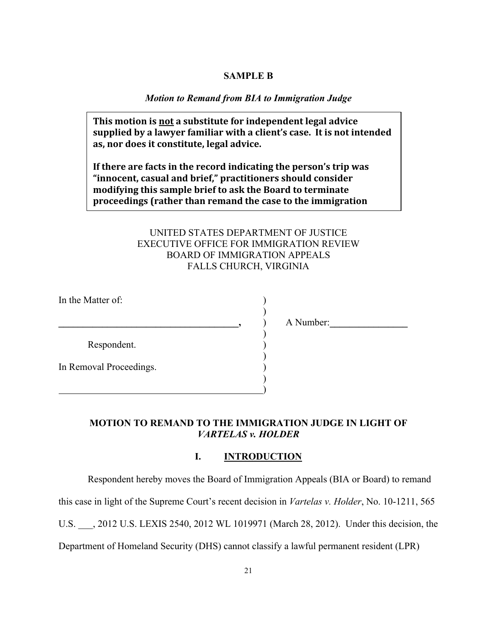### **SAMPLE B**

### *Motion to Remand from BIA to Immigration Judge*

**This motion is not a substitute for independent legal advice** supplied by a lawyer familiar with a client's case. It is not intended **as,%nor%does it%constitute,%legal%advice.**

If there are facts in the record indicating the person's trip was "innocent, casual and brief," practitioners should consider modifying this sample brief to ask the Board to terminate proceedings (rather than remand the case to the immigration

# UNITED STATES DEPARTMENT OF JUSTICE EXECUTIVE OFFICE FOR IMMIGRATION REVIEW BOARD OF IMMIGRATION APPEALS FALLS CHURCH, VIRGINIA

)

)

)

)

In the Matter of:

Respondent.

**court).%%%**

)

In Removal Proceedings. )

**\_\_\_\_\_\_\_\_\_\_\_\_\_\_\_\_\_\_\_\_\_\_\_\_\_\_\_\_\_\_\_\_\_\_\_\_\_,** ) A Number:**\_\_\_\_\_\_\_\_\_\_\_\_\_\_\_\_**

### **MOTION TO REMAND TO THE IMMIGRATION JUDGE IN LIGHT OF**  *VARTELAS v. HOLDER*

### **I. INTRODUCTION**

Respondent hereby moves the Board of Immigration Appeals (BIA or Board) to remand

this case in light of the Supreme Court's recent decision in *Vartelas v. Holder*, No. 10-1211, 565

U.S. \_\_\_, 2012 U.S. LEXIS 2540, 2012 WL 1019971 (March 28, 2012). Under this decision, the

Department of Homeland Security (DHS) cannot classify a lawful permanent resident (LPR)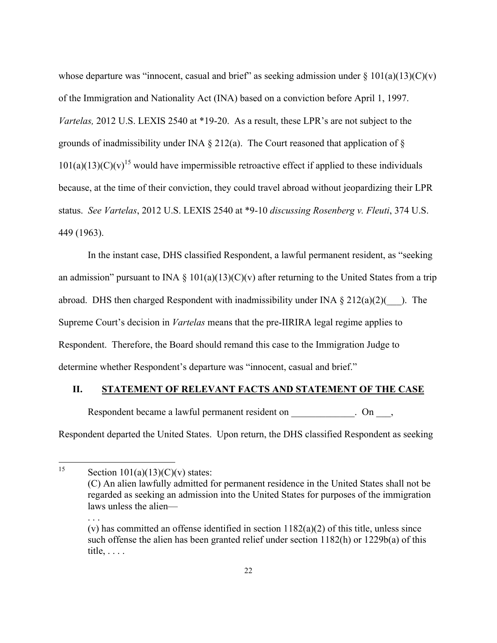whose departure was "innocent, casual and brief" as seeking admission under  $\S 101(a)(13)(C)(v)$ of the Immigration and Nationality Act (INA) based on a conviction before April 1, 1997. *Vartelas,* 2012 U.S. LEXIS 2540 at \*19-20. As a result, these LPR's are not subject to the grounds of inadmissibility under INA  $\S$  212(a). The Court reasoned that application of  $\S$  $101(a)(13)(C)(v)^{15}$  would have impermissible retroactive effect if applied to these individuals because, at the time of their conviction, they could travel abroad without jeopardizing their LPR status. *See Vartelas*, 2012 U.S. LEXIS 2540 at \*9-10 *discussing Rosenberg v. Fleuti*, 374 U.S. 449 (1963).

In the instant case, DHS classified Respondent, a lawful permanent resident, as "seeking an admission" pursuant to INA  $\S$  101(a)(13)(C)(v) after returning to the United States from a trip abroad. DHS then charged Respondent with inadmissibility under INA  $\S 212(a)(2)$  ). The Supreme Court's decision in *Vartelas* means that the pre-IIRIRA legal regime applies to Respondent. Therefore, the Board should remand this case to the Immigration Judge to determine whether Respondent's departure was "innocent, casual and brief."

### **II. STATEMENT OF RELEVANT FACTS AND STATEMENT OF THE CASE**

Respondent became a lawful permanent resident on  $\Box$  On  $\Box$ ,

Respondent departed the United States. Upon return, the DHS classified Respondent as seeking

. . .

<sup>&</sup>lt;sup>15</sup> Section  $101(a)(13)(C)(v)$  states:

<sup>(</sup>C) An alien lawfully admitted for permanent residence in the United States shall not be regarded as seeking an admission into the United States for purposes of the immigration laws unless the alien—

<sup>(</sup>v) has committed an offense identified in section  $1182(a)(2)$  of this title, unless since such offense the alien has been granted relief under section 1182(h) or 1229b(a) of this title, . . . .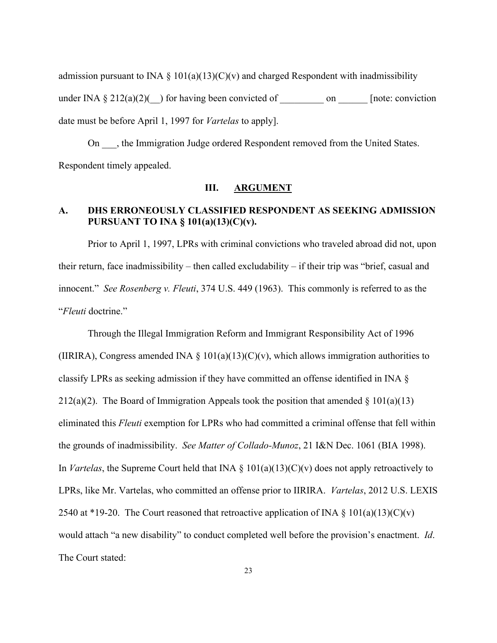admission pursuant to INA  $\S$  101(a)(13)(C)(v) and charged Respondent with inadmissibility under INA  $\S 212(a)(2)$  (b) for having been convicted of  $\Box$  on  $\Box$  [note: conviction date must be before April 1, 1997 for *Vartelas* to apply].

On  $\Box$ , the Immigration Judge ordered Respondent removed from the United States. Respondent timely appealed.

### **III. ARGUMENT**

# **A. DHS ERRONEOUSLY CLASSIFIED RESPONDENT AS SEEKING ADMISSION PURSUANT TO INA § 101(a)(13)(C)(v).**

Prior to April 1, 1997, LPRs with criminal convictions who traveled abroad did not, upon their return, face inadmissibility – then called excludability – if their trip was "brief, casual and innocent." *See Rosenberg v. Fleuti*, 374 U.S. 449 (1963). This commonly is referred to as the "*Fleuti* doctrine."

Through the Illegal Immigration Reform and Immigrant Responsibility Act of 1996 (IIRIRA), Congress amended INA  $\S$  101(a)(13)(C)(v), which allows immigration authorities to classify LPRs as seeking admission if they have committed an offense identified in INA § 212(a)(2). The Board of Immigration Appeals took the position that amended  $\S 101(a)(13)$ eliminated this *Fleuti* exemption for LPRs who had committed a criminal offense that fell within the grounds of inadmissibility. *See Matter of Collado-Munoz*, 21 I&N Dec. 1061 (BIA 1998). In *Vartelas*, the Supreme Court held that INA § 101(a)(13)(C)(v) does not apply retroactively to LPRs, like Mr. Vartelas, who committed an offense prior to IIRIRA. *Vartelas*, 2012 U.S. LEXIS 2540 at \*19-20. The Court reasoned that retroactive application of INA  $\S$  101(a)(13)(C)(v) would attach "a new disability" to conduct completed well before the provision's enactment. *Id*. The Court stated: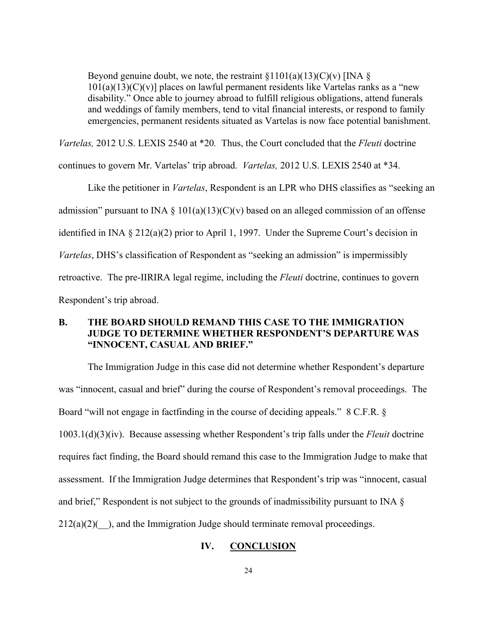Beyond genuine doubt, we note, the restraint  $\S1101(a)(13)(C)(v)$  [INA  $\S$ ]  $101(a)(13)(C)(v)$ ] places on lawful permanent residents like Vartelas ranks as a "new disability." Once able to journey abroad to fulfill religious obligations, attend funerals and weddings of family members, tend to vital financial interests, or respond to family emergencies, permanent residents situated as Vartelas is now face potential banishment.

*Vartelas,* 2012 U.S. LEXIS 2540 at \*20*.* Thus, the Court concluded that the *Fleuti* doctrine

continues to govern Mr. Vartelas' trip abroad. *Vartelas,* 2012 U.S. LEXIS 2540 at \*34.

Like the petitioner in *Vartelas*, Respondent is an LPR who DHS classifies as "seeking an admission" pursuant to INA  $\S$  101(a)(13)(C)(v) based on an alleged commission of an offense identified in INA § 212(a)(2) prior to April 1, 1997. Under the Supreme Court's decision in *Vartelas*, DHS's classification of Respondent as "seeking an admission" is impermissibly retroactive. The pre-IIRIRA legal regime, including the *Fleuti* doctrine, continues to govern Respondent's trip abroad.

## **B. THE BOARD SHOULD REMAND THIS CASE TO THE IMMIGRATION JUDGE TO DETERMINE WHETHER RESPONDENT'S DEPARTURE WAS "INNOCENT, CASUAL AND BRIEF."**

The Immigration Judge in this case did not determine whether Respondent's departure was "innocent, casual and brief" during the course of Respondent's removal proceedings. The Board "will not engage in factfinding in the course of deciding appeals." 8 C.F.R. § 1003.1(d)(3)(iv). Because assessing whether Respondent's trip falls under the *Fleuit* doctrine requires fact finding, the Board should remand this case to the Immigration Judge to make that assessment. If the Immigration Judge determines that Respondent's trip was "innocent, casual and brief," Respondent is not subject to the grounds of inadmissibility pursuant to INA §  $212(a)(2)$ ( $\phantom{a}$ ), and the Immigration Judge should terminate removal proceedings.

### **IV. CONCLUSION**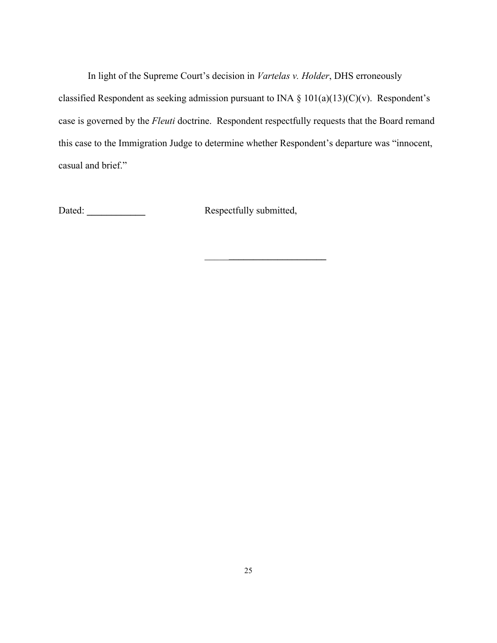In light of the Supreme Court's decision in *Vartelas v. Holder*, DHS erroneously classified Respondent as seeking admission pursuant to INA  $\S$  101(a)(13)(C)(v). Respondent's case is governed by the *Fleuti* doctrine. Respondent respectfully requests that the Board remand this case to the Immigration Judge to determine whether Respondent's departure was "innocent, casual and brief."

Dated: **\_\_\_\_\_\_\_\_\_\_\_\_** Respectfully submitted,

\_\_\_\_\_**\_\_\_\_\_\_\_\_\_\_\_\_\_\_\_\_\_\_\_\_**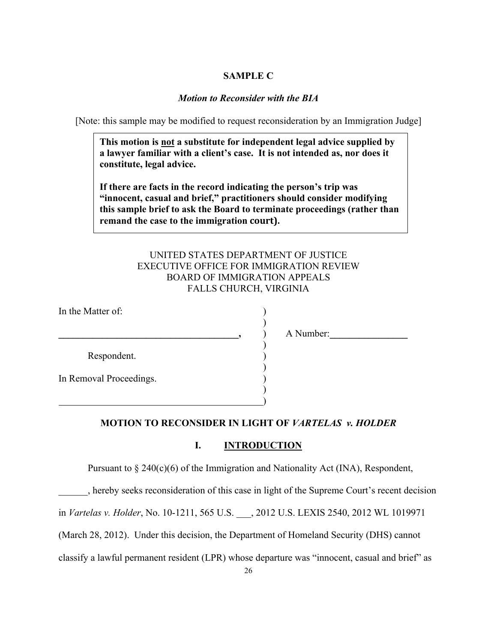## **SAMPLE C**

## *Motion to Reconsider with the BIA*

[Note: this sample may be modified to request reconsideration by an Immigration Judge]

**This motion is not a substitute for independent legal advice supplied by a lawyer familiar with a client's case. It is not intended as, nor does it constitute, legal advice.**

**If there are facts in the record indicating the person's trip was "innocent, casual and brief," practitioners should consider modifying this sample brief to ask the Board to terminate proceedings (rather than**  remand the case to the immigration court).

# UNITED STATES DEPARTMENT OF JUSTICE EXECUTIVE OFFICE FOR IMMIGRATION REVIEW BOARD OF IMMIGRATION APPEALS FALLS CHURCH, VIRGINIA

)

)

)

)

In the Matter of:

Respondent. )

In Removal Proceedings. )

) and the contract of the contract of  $\mathcal{L}$ 

**a**  $\bullet$  **.**  $\bullet$  **.**  $\bullet$  **.**  $\bullet$  **.**  $\bullet$  **.**  $\bullet$  **.**  $\bullet$  **.**  $\bullet$  **.**  $\bullet$  **.**  $\bullet$  **.**  $\bullet$  **.**  $\bullet$  **.**  $\bullet$  **.**  $\bullet$  **.**  $\bullet$  **.**  $\bullet$  **.**  $\bullet$  **.**  $\bullet$  **.**  $\bullet$  **.**  $\bullet$  **.**  $\bullet$  **.**  $\bullet$  **.**  $\bullet$  **.**  $\bullet$  **.**  $\$ 

### **MOTION TO RECONSIDER IN LIGHT OF** *VARTELAS v. HOLDER*

#### **I. INTRODUCTION**

Pursuant to  $\S 240(c)(6)$  of the Immigration and Nationality Act (INA), Respondent,

hereby seeks reconsideration of this case in light of the Supreme Court's recent decision

in *Vartelas v. Holder*, No. 10-1211, 565 U.S. \_\_\_, 2012 U.S. LEXIS 2540, 2012 WL 1019971

(March 28, 2012). Under this decision, the Department of Homeland Security (DHS) cannot

classify a lawful permanent resident (LPR) whose departure was "innocent, casual and brief" as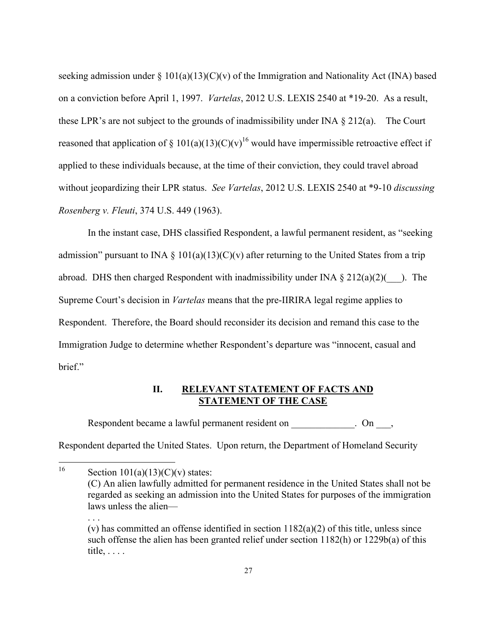seeking admission under  $\S 101(a)(13)(C)(v)$  of the Immigration and Nationality Act (INA) based on a conviction before April 1, 1997. *Vartelas*, 2012 U.S. LEXIS 2540 at \*19-20. As a result, these LPR's are not subject to the grounds of inadmissibility under INA  $\S 212(a)$ . The Court reasoned that application of § 101(a)(13)(C)(v)<sup>16</sup> would have impermissible retroactive effect if applied to these individuals because, at the time of their conviction, they could travel abroad without jeopardizing their LPR status. *See Vartelas*, 2012 U.S. LEXIS 2540 at \*9-10 *discussing Rosenberg v. Fleuti*, 374 U.S. 449 (1963).

In the instant case, DHS classified Respondent, a lawful permanent resident, as "seeking admission" pursuant to INA  $\S$  101(a)(13)(C)(v) after returning to the United States from a trip abroad. DHS then charged Respondent with inadmissibility under INA  $\S 212(a)(2)$  ). The Supreme Court's decision in *Vartelas* means that the pre-IIRIRA legal regime applies to Respondent. Therefore, the Board should reconsider its decision and remand this case to the Immigration Judge to determine whether Respondent's departure was "innocent, casual and brief."

### **II. RELEVANT STATEMENT OF FACTS AND STATEMENT OF THE CASE**

Respondent became a lawful permanent resident on \_\_\_\_\_\_\_\_\_\_\_. On \_\_\_,

Respondent departed the United States. Upon return, the Department of Homeland Security

<sup>&</sup>lt;sup>16</sup> Section 101(a)(13)(C)(v) states:

<sup>(</sup>C) An alien lawfully admitted for permanent residence in the United States shall not be regarded as seeking an admission into the United States for purposes of the immigration laws unless the alien—

<sup>. . .</sup>  (v) has committed an offense identified in section  $1182(a)(2)$  of this title, unless since such offense the alien has been granted relief under section 1182(h) or 1229b(a) of this title, . . . .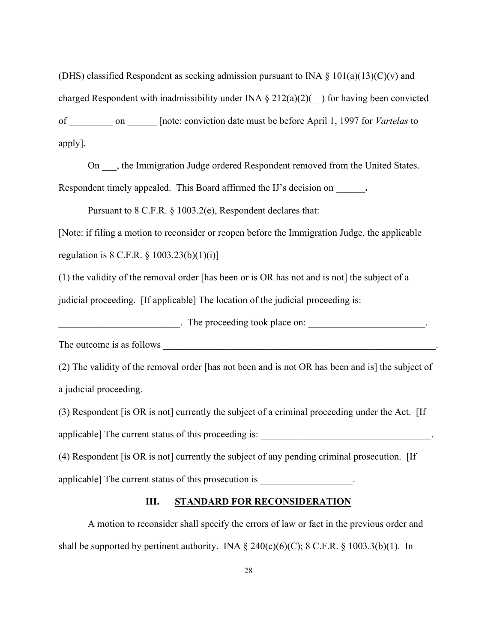(DHS) classified Respondent as seeking admission pursuant to INA  $\S$  101(a)(13)(C)(v) and charged Respondent with inadmissibility under INA  $\S 212(a)(2)$  (b) for having been convicted of \_\_\_\_\_\_\_\_\_ on \_\_\_\_\_\_ [note: conviction date must be before April 1, 1997 for *Vartelas* to apply].

On  $\Box$ , the Immigration Judge ordered Respondent removed from the United States. Respondent timely appealed. This Board affirmed the IJ's decision on \_\_\_\_\_\_**.** 

Pursuant to 8 C.F.R. § 1003.2(e), Respondent declares that:

[Note: if filing a motion to reconsider or reopen before the Immigration Judge, the applicable regulation is  $8 \text{ C.F.R. } \S 1003.23(b)(1)(i)$ ]

(1) the validity of the removal order [has been or is OR has not and is not] the subject of a judicial proceeding. [If applicable] The location of the judicial proceeding is:

 $\blacksquare$  The proceeding took place on:  $\blacksquare$ 

The outcome is as follows \_\_\_\_\_\_\_\_\_\_\_\_\_\_\_\_\_\_\_\_\_\_\_\_\_\_\_\_\_\_\_\_\_\_\_\_\_\_\_\_\_\_\_\_\_\_\_\_\_\_\_\_\_\_\_\_.

(2) The validity of the removal order [has not been and is not OR has been and is] the subject of a judicial proceeding.

(3) Respondent [is OR is not] currently the subject of a criminal proceeding under the Act. [If applicable] The current status of this proceeding is: \_\_\_\_\_\_\_\_\_\_\_\_\_\_\_\_\_\_\_\_\_\_\_\_\_\_\_\_\_\_\_\_\_\_\_.

(4) Respondent [is OR is not] currently the subject of any pending criminal prosecution. [If applicable] The current status of this prosecution is

# **III. STANDARD FOR RECONSIDERATION**

A motion to reconsider shall specify the errors of law or fact in the previous order and shall be supported by pertinent authority. INA  $\S$  240(c)(6)(C); 8 C.F.R.  $\S$  1003.3(b)(1). In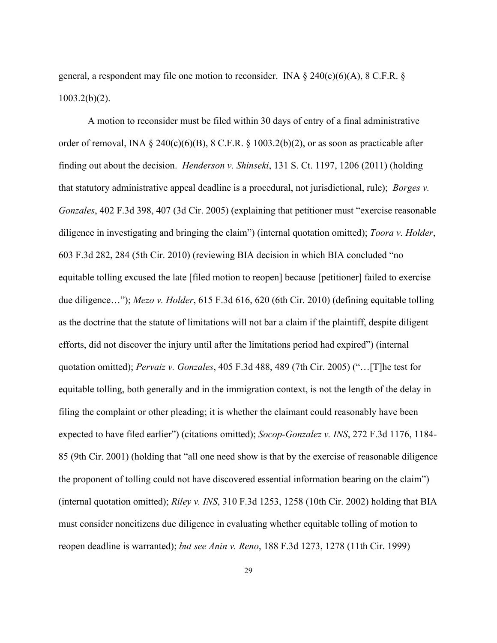general, a respondent may file one motion to reconsider. INA  $\S$  240(c)(6)(A), 8 C.F.R.  $\S$  $1003.2(b)(2)$ .

A motion to reconsider must be filed within 30 days of entry of a final administrative order of removal, INA  $\S$  240(c)(6)(B), 8 C.F.R.  $\S$  1003.2(b)(2), or as soon as practicable after finding out about the decision. *Henderson v. Shinseki*, 131 S. Ct. 1197, 1206 (2011) (holding that statutory administrative appeal deadline is a procedural, not jurisdictional, rule); *Borges v. Gonzales*, 402 F.3d 398, 407 (3d Cir. 2005) (explaining that petitioner must "exercise reasonable diligence in investigating and bringing the claim") (internal quotation omitted); *Toora v. Holder*, 603 F.3d 282, 284 (5th Cir. 2010) (reviewing BIA decision in which BIA concluded "no equitable tolling excused the late [filed motion to reopen] because [petitioner] failed to exercise due diligence…"); *Mezo v. Holder*, 615 F.3d 616, 620 (6th Cir. 2010) (defining equitable tolling as the doctrine that the statute of limitations will not bar a claim if the plaintiff, despite diligent efforts, did not discover the injury until after the limitations period had expired") (internal quotation omitted); *Pervaiz v. Gonzales*, 405 F.3d 488, 489 (7th Cir. 2005) ("…[T]he test for equitable tolling, both generally and in the immigration context, is not the length of the delay in filing the complaint or other pleading; it is whether the claimant could reasonably have been expected to have filed earlier") (citations omitted); *Socop-Gonzalez v. INS*, 272 F.3d 1176, 1184- 85 (9th Cir. 2001) (holding that "all one need show is that by the exercise of reasonable diligence the proponent of tolling could not have discovered essential information bearing on the claim") (internal quotation omitted); *Riley v. INS*, 310 F.3d 1253, 1258 (10th Cir. 2002) holding that BIA must consider noncitizens due diligence in evaluating whether equitable tolling of motion to reopen deadline is warranted); *but see Anin v. Reno*, 188 F.3d 1273, 1278 (11th Cir. 1999)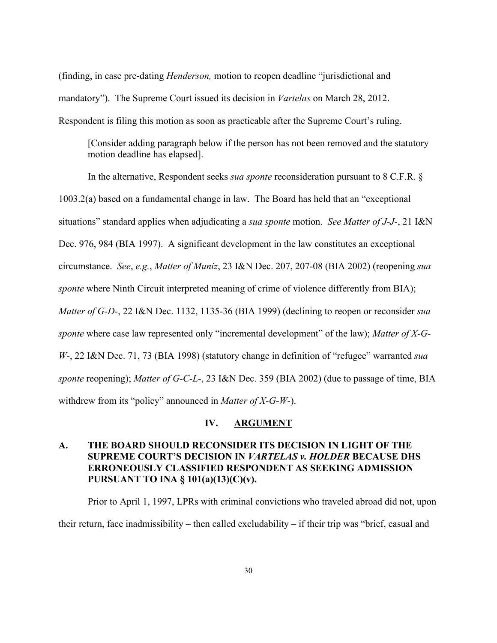(finding, in case pre-dating *Henderson,* motion to reopen deadline "jurisdictional and mandatory"). The Supreme Court issued its decision in *Vartelas* on March 28, 2012. Respondent is filing this motion as soon as practicable after the Supreme Court's ruling.

[Consider adding paragraph below if the person has not been removed and the statutory motion deadline has elapsed].

In the alternative, Respondent seeks *sua sponte* reconsideration pursuant to 8 C.F.R. § 1003.2(a) based on a fundamental change in law. The Board has held that an "exceptional situations" standard applies when adjudicating a *sua sponte* motion. *See Matter of J-J-*, 21 I&N Dec. 976, 984 (BIA 1997). A significant development in the law constitutes an exceptional circumstance. *See*, *e.g.*, *Matter of Muniz*, 23 I&N Dec. 207, 207-08 (BIA 2002) (reopening *sua sponte* where Ninth Circuit interpreted meaning of crime of violence differently from BIA); *Matter of G-D-*, 22 I&N Dec. 1132, 1135-36 (BIA 1999) (declining to reopen or reconsider *sua sponte* where case law represented only "incremental development" of the law); *Matter of X-G-W-*, 22 I&N Dec. 71, 73 (BIA 1998) (statutory change in definition of "refugee" warranted *sua sponte* reopening); *Matter of G-C-L-*, 23 I&N Dec. 359 (BIA 2002) (due to passage of time, BIA withdrew from its "policy" announced in *Matter of X-G-W-*).

#### **IV. ARGUMENT**

## **A. THE BOARD SHOULD RECONSIDER ITS DECISION IN LIGHT OF THE SUPREME COURT'S DECISION IN** *VARTELAS v. HOLDER* **BECAUSE DHS ERRONEOUSLY CLASSIFIED RESPONDENT AS SEEKING ADMISSION PURSUANT TO INA § 101(a)(13)(C)(v).**

Prior to April 1, 1997, LPRs with criminal convictions who traveled abroad did not, upon their return, face inadmissibility – then called excludability – if their trip was "brief, casual and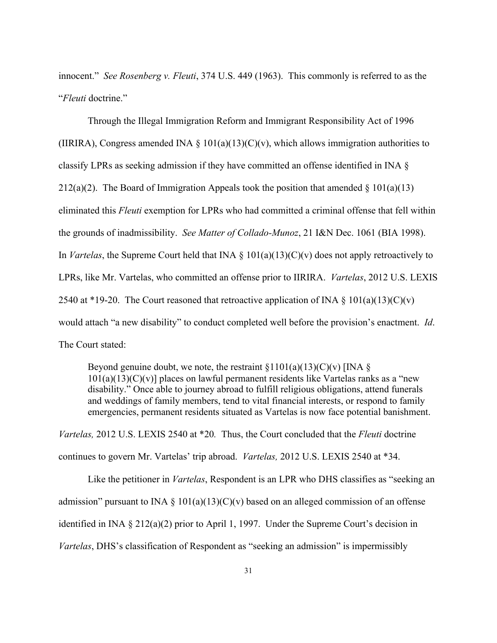innocent." *See Rosenberg v. Fleuti*, 374 U.S. 449 (1963). This commonly is referred to as the "*Fleuti* doctrine."

Through the Illegal Immigration Reform and Immigrant Responsibility Act of 1996 (IIRIRA), Congress amended INA § 101(a)(13)(C)(v), which allows immigration authorities to classify LPRs as seeking admission if they have committed an offense identified in INA § 212(a)(2). The Board of Immigration Appeals took the position that amended  $\S 101(a)(13)$ eliminated this *Fleuti* exemption for LPRs who had committed a criminal offense that fell within the grounds of inadmissibility. *See Matter of Collado-Munoz*, 21 I&N Dec. 1061 (BIA 1998). In *Vartelas*, the Supreme Court held that INA § 101(a)(13)(C)(v) does not apply retroactively to LPRs, like Mr. Vartelas, who committed an offense prior to IIRIRA. *Vartelas*, 2012 U.S. LEXIS 2540 at \*19-20. The Court reasoned that retroactive application of INA  $\S$  101(a)(13)(C)(v) would attach "a new disability" to conduct completed well before the provision's enactment. *Id*. The Court stated:

Beyond genuine doubt, we note, the restraint  $\S1101(a)(13)(C)(v)$  [INA  $\S$ ]  $101(a)(13)(C)(v)$ ] places on lawful permanent residents like Vartelas ranks as a "new disability." Once able to journey abroad to fulfill religious obligations, attend funerals and weddings of family members, tend to vital financial interests, or respond to family emergencies, permanent residents situated as Vartelas is now face potential banishment.

*Vartelas,* 2012 U.S. LEXIS 2540 at \*20*.* Thus, the Court concluded that the *Fleuti* doctrine continues to govern Mr. Vartelas' trip abroad. *Vartelas,* 2012 U.S. LEXIS 2540 at \*34.

Like the petitioner in *Vartelas*, Respondent is an LPR who DHS classifies as "seeking an admission" pursuant to INA  $\S$  101(a)(13)(C)(v) based on an alleged commission of an offense identified in INA § 212(a)(2) prior to April 1, 1997. Under the Supreme Court's decision in *Vartelas*, DHS's classification of Respondent as "seeking an admission" is impermissibly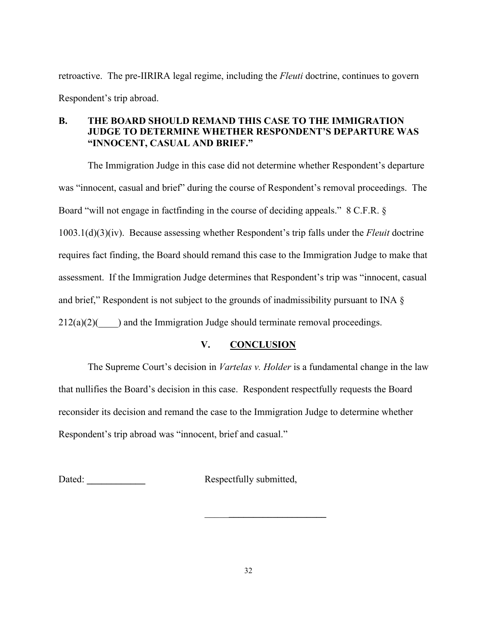retroactive. The pre-IIRIRA legal regime, including the *Fleuti* doctrine, continues to govern Respondent's trip abroad.

## **B. THE BOARD SHOULD REMAND THIS CASE TO THE IMMIGRATION JUDGE TO DETERMINE WHETHER RESPONDENT'S DEPARTURE WAS "INNOCENT, CASUAL AND BRIEF."**

The Immigration Judge in this case did not determine whether Respondent's departure was "innocent, casual and brief" during the course of Respondent's removal proceedings. The Board "will not engage in factfinding in the course of deciding appeals." 8 C.F.R. § 1003.1(d)(3)(iv). Because assessing whether Respondent's trip falls under the *Fleuit* doctrine requires fact finding, the Board should remand this case to the Immigration Judge to make that assessment. If the Immigration Judge determines that Respondent's trip was "innocent, casual and brief," Respondent is not subject to the grounds of inadmissibility pursuant to INA §  $212(a)(2)$  and the Immigration Judge should terminate removal proceedings.

# **V. CONCLUSION**

The Supreme Court's decision in *Vartelas v. Holder* is a fundamental change in the law that nullifies the Board's decision in this case. Respondent respectfully requests the Board reconsider its decision and remand the case to the Immigration Judge to determine whether Respondent's trip abroad was "innocent, brief and casual."

Dated: **Dated: Respectfully submitted,** 

\_\_\_\_\_**\_\_\_\_\_\_\_\_\_\_\_\_\_\_\_\_\_\_\_\_**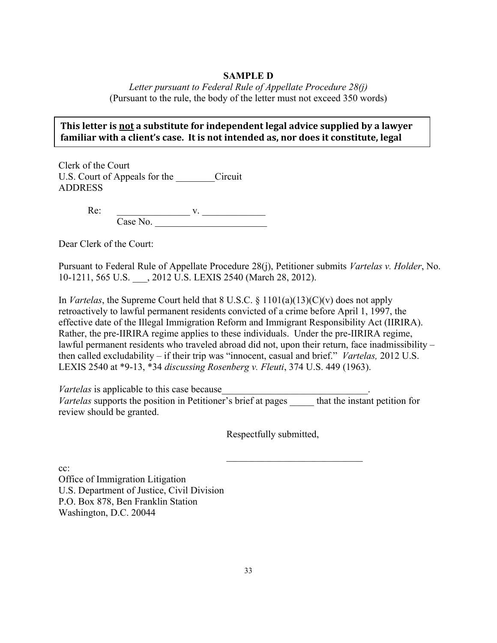## **SAMPLE D**

*Letter pursuant to Federal Rule of Appellate Procedure 28(j)* (Pursuant to the rule, the body of the letter must not exceed 350 words)

# **This letter is not a substitute for independent legal advice supplied by a lawyer** familiar with a client's case. It is not intended as, nor does it constitute, legal

Clerk of the Court U.S. Court of Appeals for the Circuit ADDRESS

> $Re:$   $v.$ Case No.

Dear Clerk of the Court:

**advice.**

Pursuant to Federal Rule of Appellate Procedure 28(j), Petitioner submits *Vartelas v. Holder*, No. 10-1211, 565 U.S. \_\_\_, 2012 U.S. LEXIS 2540 (March 28, 2012).

In *Vartelas*, the Supreme Court held that 8 U.S.C. § 1101(a)(13)(C)(v) does not apply retroactively to lawful permanent residents convicted of a crime before April 1, 1997, the effective date of the Illegal Immigration Reform and Immigrant Responsibility Act (IIRIRA). Rather, the pre-IIRIRA regime applies to these individuals. Under the pre-IIRIRA regime, lawful permanent residents who traveled abroad did not, upon their return, face inadmissibility – then called excludability – if their trip was "innocent, casual and brief." *Vartelas,* 2012 U.S. LEXIS 2540 at \*9-13, \*34 *discussing Rosenberg v. Fleuti*, 374 U.S. 449 (1963).

*Vartelas* is applicable to this case because *Vartelas* supports the position in Petitioner's brief at pages that the instant petition for review should be granted.

Respectfully submitted,

 $\mathcal{L}_\text{max}$  , where  $\mathcal{L}_\text{max}$  , we have the set of the set of the set of the set of the set of the set of the set of the set of the set of the set of the set of the set of the set of the set of the set of the set of

cc: Office of Immigration Litigation U.S. Department of Justice, Civil Division P.O. Box 878, Ben Franklin Station Washington, D.C. 20044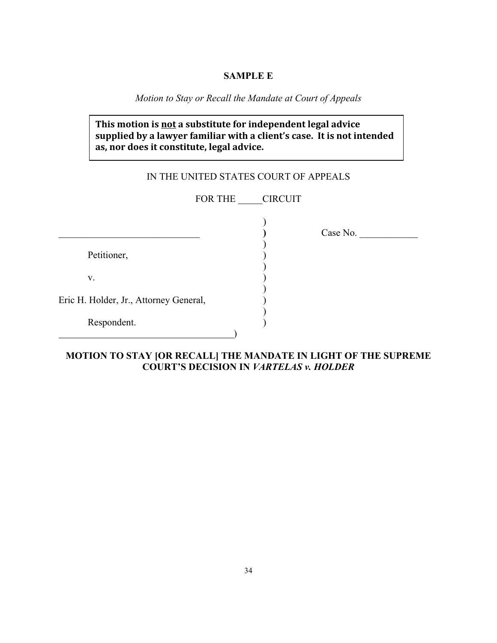### **SAMPLE E**

*Motion to Stay or Recall the Mandate at Court of Appeals*

# **This motion is not a substitute for independent legal advice** supplied by a lawyer familiar with a client's case. It is not intended **as,%nor%does it%constitute,%legal%advice.**

# IN THE UNITED STATES COURT OF APPEALS

FOR THE CIRCUIT

)

)

)

)

)

Petitioner,

 $\mathbf{v}$ .

Eric H. Holder, Jr., Attorney General, )

 $\qquad \qquad \qquad \qquad$ 

| Respondent. |  |
|-------------|--|
|-------------|--|

\_\_\_\_\_\_\_\_\_\_\_\_\_\_\_\_\_\_\_\_\_\_\_\_\_\_\_\_\_ **)** Case No. \_\_\_\_\_\_\_\_\_\_\_\_

**MOTION TO STAY [OR RECALL] THE MANDATE IN LIGHT OF THE SUPREME COURT'S DECISION IN** *VARTELAS v. HOLDER*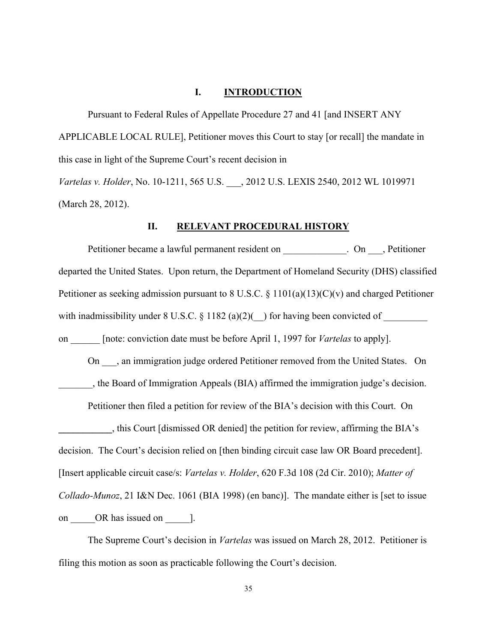#### **I. INTRODUCTION**

Pursuant to Federal Rules of Appellate Procedure 27 and 41 [and INSERT ANY APPLICABLE LOCAL RULE], Petitioner moves this Court to stay [or recall] the mandate in this case in light of the Supreme Court's recent decision in *Vartelas v. Holder*, No. 10-1211, 565 U.S. \_\_\_, 2012 U.S. LEXIS 2540, 2012 WL 1019971 (March 28, 2012).

#### **II. RELEVANT PROCEDURAL HISTORY**

Petitioner became a lawful permanent resident on \_\_\_\_\_\_\_\_\_\_\_. On \_\_\_, Petitioner departed the United States. Upon return, the Department of Homeland Security (DHS) classified Petitioner as seeking admission pursuant to 8 U.S.C.  $\S$  1101(a)(13)(C)(v) and charged Petitioner with inadmissibility under 8 U.S.C. § 1182 (a)(2)(\_\_) for having been convicted of \_\_\_\_\_\_\_\_\_ on \_\_\_\_\_\_ [note: conviction date must be before April 1, 1997 for *Vartelas* to apply]. On \_\_\_, an immigration judge ordered Petitioner removed from the United States. On \_\_\_\_\_\_\_, the Board of Immigration Appeals (BIA) affirmed the immigration judge's decision. Petitioner then filed a petition for review of the BIA's decision with this Court. On **\_\_\_\_\_\_\_\_\_\_\_**, this Court [dismissed OR denied] the petition for review, affirming the BIA's decision. The Court's decision relied on [then binding circuit case law OR Board precedent].

[Insert applicable circuit case/s: *Vartelas v. Holder*, 620 F.3d 108 (2d Cir. 2010); *Matter of* 

*Collado-Munoz*, 21 I&N Dec. 1061 (BIA 1998) (en banc)]. The mandate either is [set to issue

on OR has issued on [.].

The Supreme Court's decision in *Vartelas* was issued on March 28, 2012. Petitioner is filing this motion as soon as practicable following the Court's decision.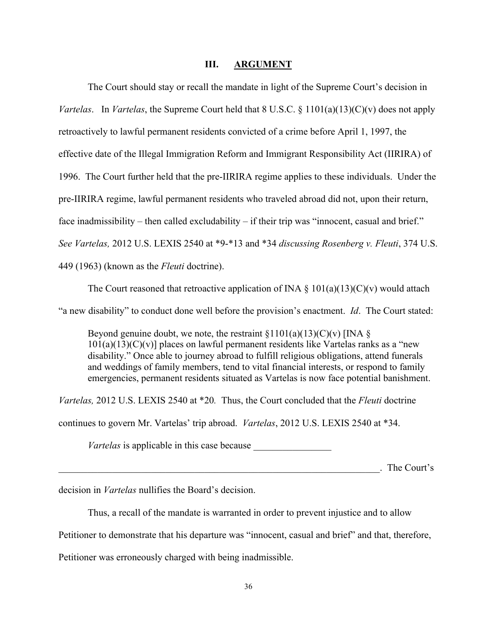#### **III. ARGUMENT**

The Court should stay or recall the mandate in light of the Supreme Court's decision in *Vartelas.* In *Vartelas*, the Supreme Court held that 8 U.S.C. § 1101(a)(13)(C)(v) does not apply retroactively to lawful permanent residents convicted of a crime before April 1, 1997, the effective date of the Illegal Immigration Reform and Immigrant Responsibility Act (IIRIRA) of 1996. The Court further held that the pre-IIRIRA regime applies to these individuals. Under the pre-IIRIRA regime, lawful permanent residents who traveled abroad did not, upon their return, face inadmissibility – then called excludability – if their trip was "innocent, casual and brief." *See Vartelas,* 2012 U.S. LEXIS 2540 at \*9-\*13 and \*34 *discussing Rosenberg v. Fleuti*, 374 U.S. 449 (1963) (known as the *Fleuti* doctrine).

The Court reasoned that retroactive application of INA  $\S$  101(a)(13)(C)(v) would attach

"a new disability" to conduct done well before the provision's enactment. *Id*. The Court stated:

Beyond genuine doubt, we note, the restraint  $\S 1101(a)(13)(C)(v)$  [INA  $\S$ ]  $101(a)(13)(C)(v)$ ] places on lawful permanent residents like Vartelas ranks as a "new disability." Once able to journey abroad to fulfill religious obligations, attend funerals and weddings of family members, tend to vital financial interests, or respond to family emergencies, permanent residents situated as Vartelas is now face potential banishment.

*Vartelas,* 2012 U.S. LEXIS 2540 at \*20*.* Thus, the Court concluded that the *Fleuti* doctrine

continues to govern Mr. Vartelas' trip abroad. *Vartelas*, 2012 U.S. LEXIS 2540 at \*34.

*Vartelas* is applicable in this case because

\_\_\_\_\_\_\_\_\_\_\_\_\_\_\_\_\_\_\_\_\_\_\_\_\_\_\_\_\_\_\_\_\_\_\_\_\_\_\_\_\_\_\_\_\_\_\_\_\_\_\_\_\_\_\_\_\_\_\_\_\_\_\_\_\_\_. The Court's

decision in *Vartelas* nullifies the Board's decision.

Thus, a recall of the mandate is warranted in order to prevent injustice and to allow

Petitioner to demonstrate that his departure was "innocent, casual and brief" and that, therefore,

Petitioner was erroneously charged with being inadmissible.